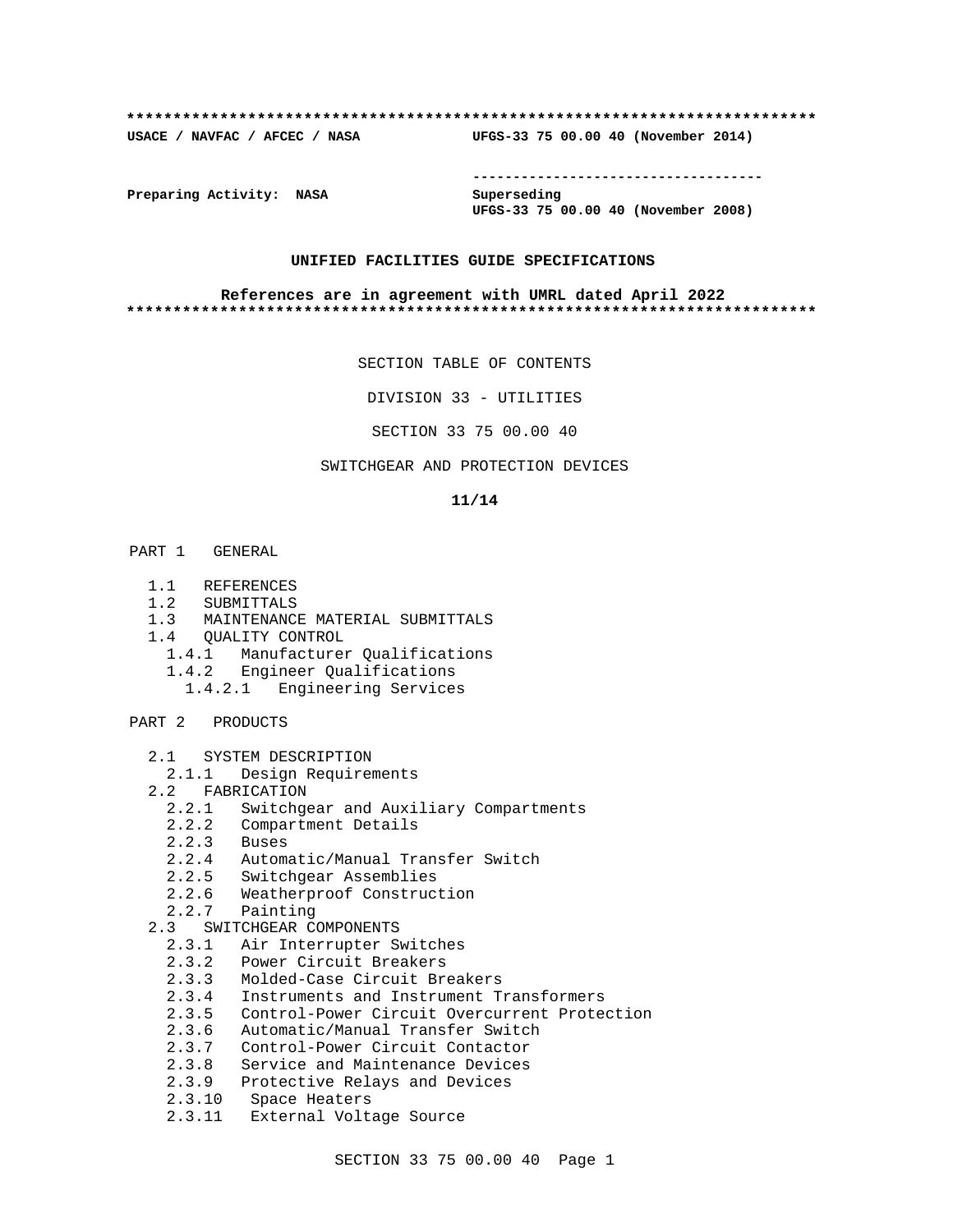#### **\*\*\*\*\*\*\*\*\*\*\*\*\*\*\*\*\*\*\*\*\*\*\*\*\*\*\*\*\*\*\*\*\*\*\*\*\*\*\*\*\*\*\*\*\*\*\*\*\*\*\*\*\*\*\*\*\*\*\*\*\*\*\*\*\*\*\*\*\*\*\*\*\*\***

**USACE / NAVFAC / AFCEC / NASA UFGS-33 75 00.00 40 (November 2014)**

**------------------------------------**

**Preparing Activity: NASA Superseding**

**UFGS-33 75 00.00 40 (November 2008)**

#### **UNIFIED FACILITIES GUIDE SPECIFICATIONS**

#### **References are in agreement with UMRL dated April 2022 \*\*\*\*\*\*\*\*\*\*\*\*\*\*\*\*\*\*\*\*\*\*\*\*\*\*\*\*\*\*\*\*\*\*\*\*\*\*\*\*\*\*\*\*\*\*\*\*\*\*\*\*\*\*\*\*\*\*\*\*\*\*\*\*\*\*\*\*\*\*\*\*\*\***

SECTION TABLE OF CONTENTS

DIVISION 33 - UTILITIES

SECTION 33 75 00.00 40

## SWITCHGEAR AND PROTECTION DEVICES

#### **11/14**

- PART 1 GENERAL
	- 1.1 REFERENCES
	- 1.2 SUBMITTALS
	- 1.3 MAINTENANCE MATERIAL SUBMITTALS
	- 1.4 QUALITY CONTROL
		- 1.4.1 Manufacturer Qualifications
		- 1.4.2 Engineer Qualifications
		- 1.4.2.1 Engineering Services
- PART 2 PRODUCTS
	- 2.1 SYSTEM DESCRIPTION
	- 2.1.1 Design Requirements
	- 2.2 FABRICATION
		- 2.2.1 Switchgear and Auxiliary Compartments
		- 2.2.2 Compartment Details
		- 2.2.3 Buses
		- 2.2.4 Automatic/Manual Transfer Switch
		- 2.2.5 Switchgear Assemblies
		- 2.2.6 Weatherproof Construction
		- 2.2.7 Painting
	- 2.3 SWITCHGEAR COMPONENTS
		- 2.3.1 Air Interrupter Switches
		- 2.3.2 Power Circuit Breakers
		- 2.3.3 Molded-Case Circuit Breakers
		- 2.3.4 Instruments and Instrument Transformers
		- 2.3.5 Control-Power Circuit Overcurrent Protection
		- 2.3.6 Automatic/Manual Transfer Switch
		- 2.3.7 Control-Power Circuit Contactor
		- 2.3.8 Service and Maintenance Devices
		- 2.3.9 Protective Relays and Devices
		- 2.3.10 Space Heaters
		- 2.3.11 External Voltage Source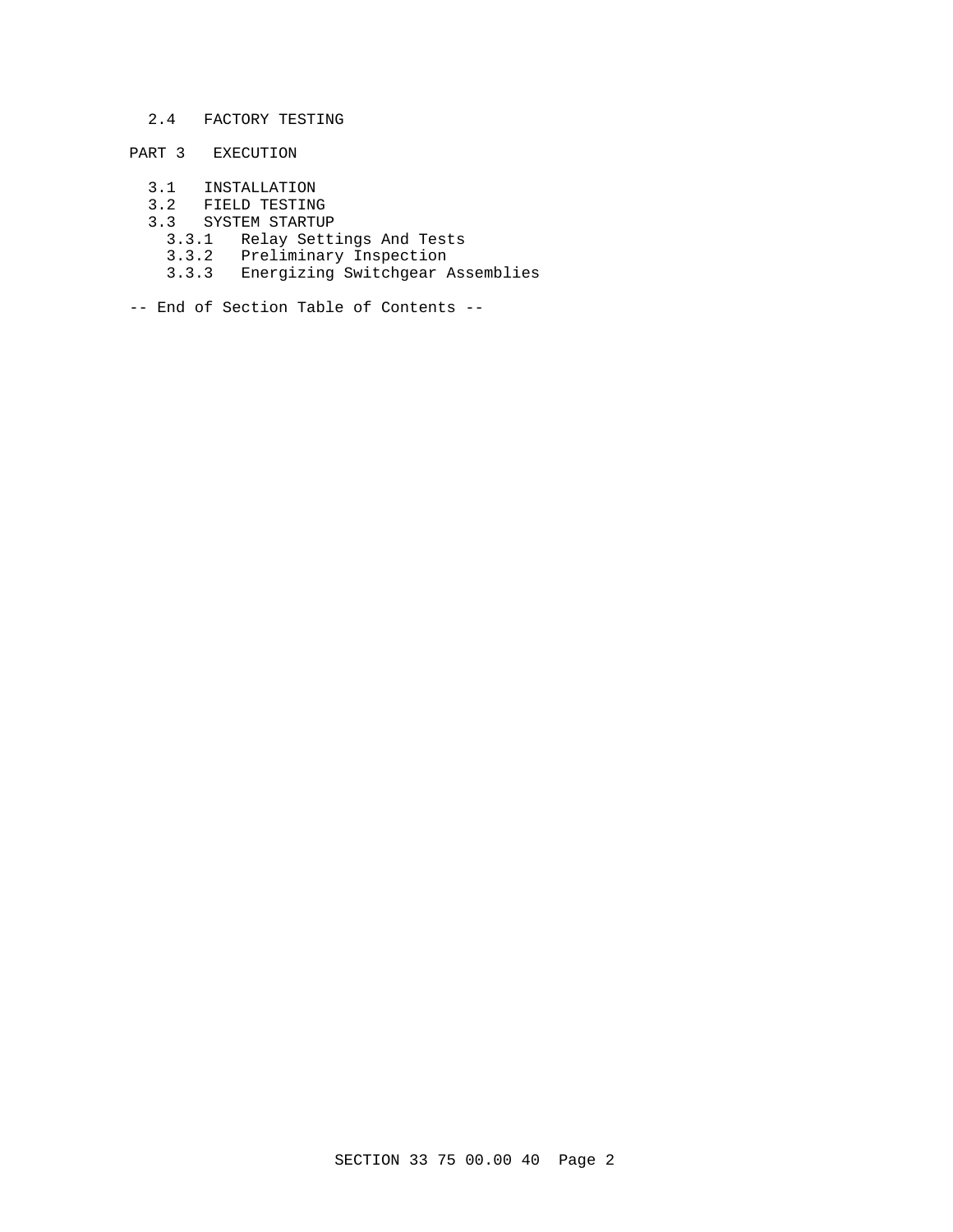## 2.4 FACTORY TESTING

# PART 3 EXECUTION

- 3.1 INSTALLATION
- 3.2 FIELD TESTING
- 3.3 SYSTEM STARTUP
	- 3.3.1 Relay Settings And Tests
- 3.3.2 Preliminary Inspection
- 3.3.3 Energizing Switchgear Assemblies
- -- End of Section Table of Contents --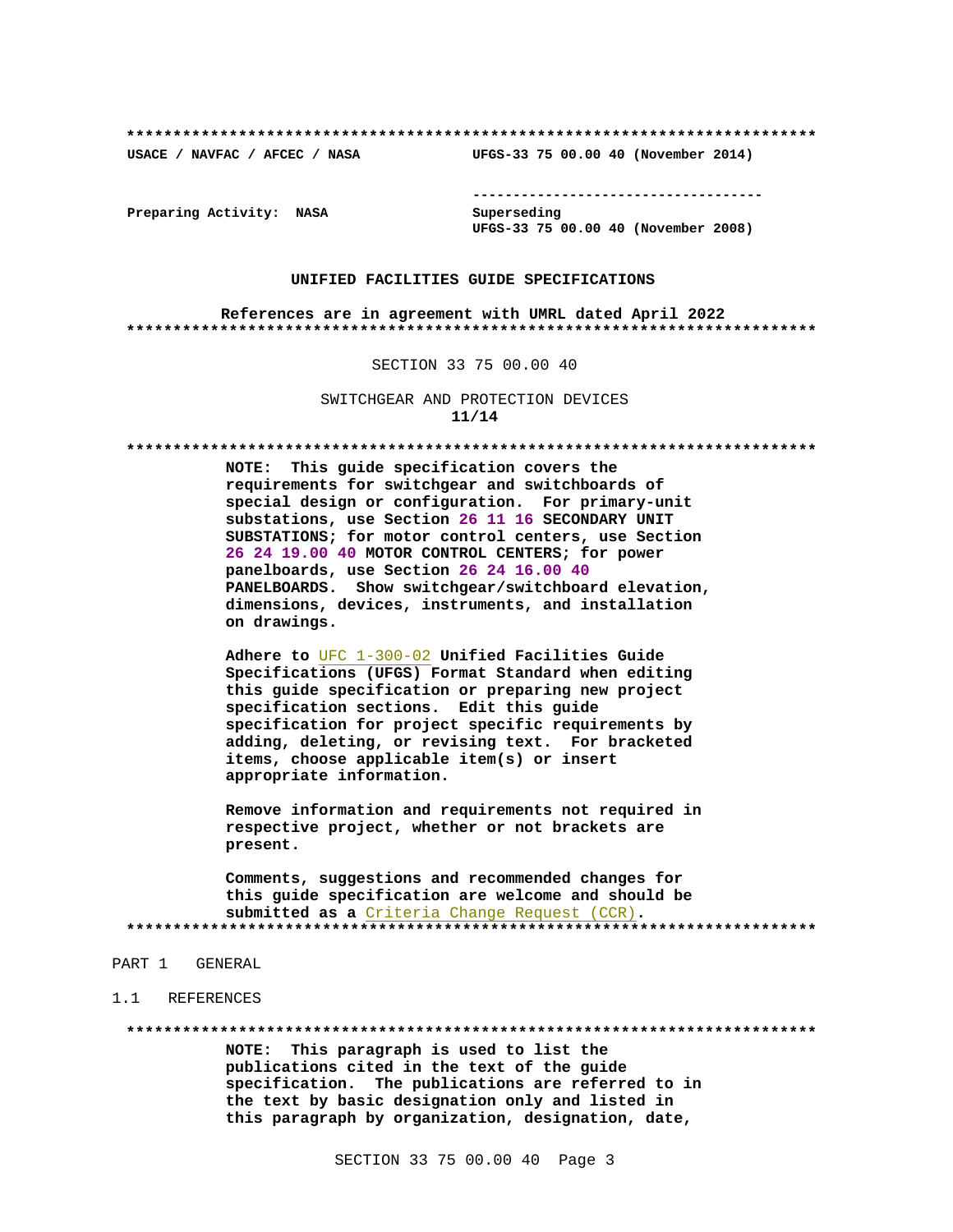**\*\*\*\*\*\*\*\*\*\*\*\*\*\*\*\*\*\*\*\*\*\*\*\*\*\*\*\*\*\*\*\*\*\*\*\*\*\*\*\*\*\*\*\*\*\*\*\*\*\*\*\*\*\*\*\*\*\*\*\*\*\*\*\*\*\*\*\*\*\*\*\*\*\***

**USACE / NAVFAC / AFCEC / NASA UFGS-33 75 00.00 40 (November 2014)**

**------------------------------------**

**Preparing Activity: NASA Superseding**

**UFGS-33 75 00.00 40 (November 2008)**

#### **UNIFIED FACILITIES GUIDE SPECIFICATIONS**

**References are in agreement with UMRL dated April 2022 \*\*\*\*\*\*\*\*\*\*\*\*\*\*\*\*\*\*\*\*\*\*\*\*\*\*\*\*\*\*\*\*\*\*\*\*\*\*\*\*\*\*\*\*\*\*\*\*\*\*\*\*\*\*\*\*\*\*\*\*\*\*\*\*\*\*\*\*\*\*\*\*\*\***

SECTION 33 75 00.00 40

SWITCHGEAR AND PROTECTION DEVICES **11/14**

**\*\*\*\*\*\*\*\*\*\*\*\*\*\*\*\*\*\*\*\*\*\*\*\*\*\*\*\*\*\*\*\*\*\*\*\*\*\*\*\*\*\*\*\*\*\*\*\*\*\*\*\*\*\*\*\*\*\*\*\*\*\*\*\*\*\*\*\*\*\*\*\*\*\***

**NOTE: This guide specification covers the requirements for switchgear and switchboards of special design or configuration. For primary-unit substations, use Section 26 11 16 SECONDARY UNIT SUBSTATIONS; for motor control centers, use Section 26 24 19.00 40 MOTOR CONTROL CENTERS; for power panelboards, use Section 26 24 16.00 40 PANELBOARDS. Show switchgear/switchboard elevation, dimensions, devices, instruments, and installation on drawings.**

**Adhere to** UFC 1-300-02 **Unified Facilities Guide Specifications (UFGS) Format Standard when editing this guide specification or preparing new project specification sections. Edit this guide specification for project specific requirements by adding, deleting, or revising text. For bracketed items, choose applicable item(s) or insert appropriate information.**

**Remove information and requirements not required in respective project, whether or not brackets are present.**

**Comments, suggestions and recommended changes for this guide specification are welcome and should be submitted as a** Criteria Change Request (CCR)**. \*\*\*\*\*\*\*\*\*\*\*\*\*\*\*\*\*\*\*\*\*\*\*\*\*\*\*\*\*\*\*\*\*\*\*\*\*\*\*\*\*\*\*\*\*\*\*\*\*\*\*\*\*\*\*\*\*\*\*\*\*\*\*\*\*\*\*\*\*\*\*\*\*\***

#### PART 1 GENERAL

#### 1.1 REFERENCES

**\*\*\*\*\*\*\*\*\*\*\*\*\*\*\*\*\*\*\*\*\*\*\*\*\*\*\*\*\*\*\*\*\*\*\*\*\*\*\*\*\*\*\*\*\*\*\*\*\*\*\*\*\*\*\*\*\*\*\*\*\*\*\*\*\*\*\*\*\*\*\*\*\*\***

**NOTE: This paragraph is used to list the publications cited in the text of the guide specification. The publications are referred to in the text by basic designation only and listed in this paragraph by organization, designation, date,**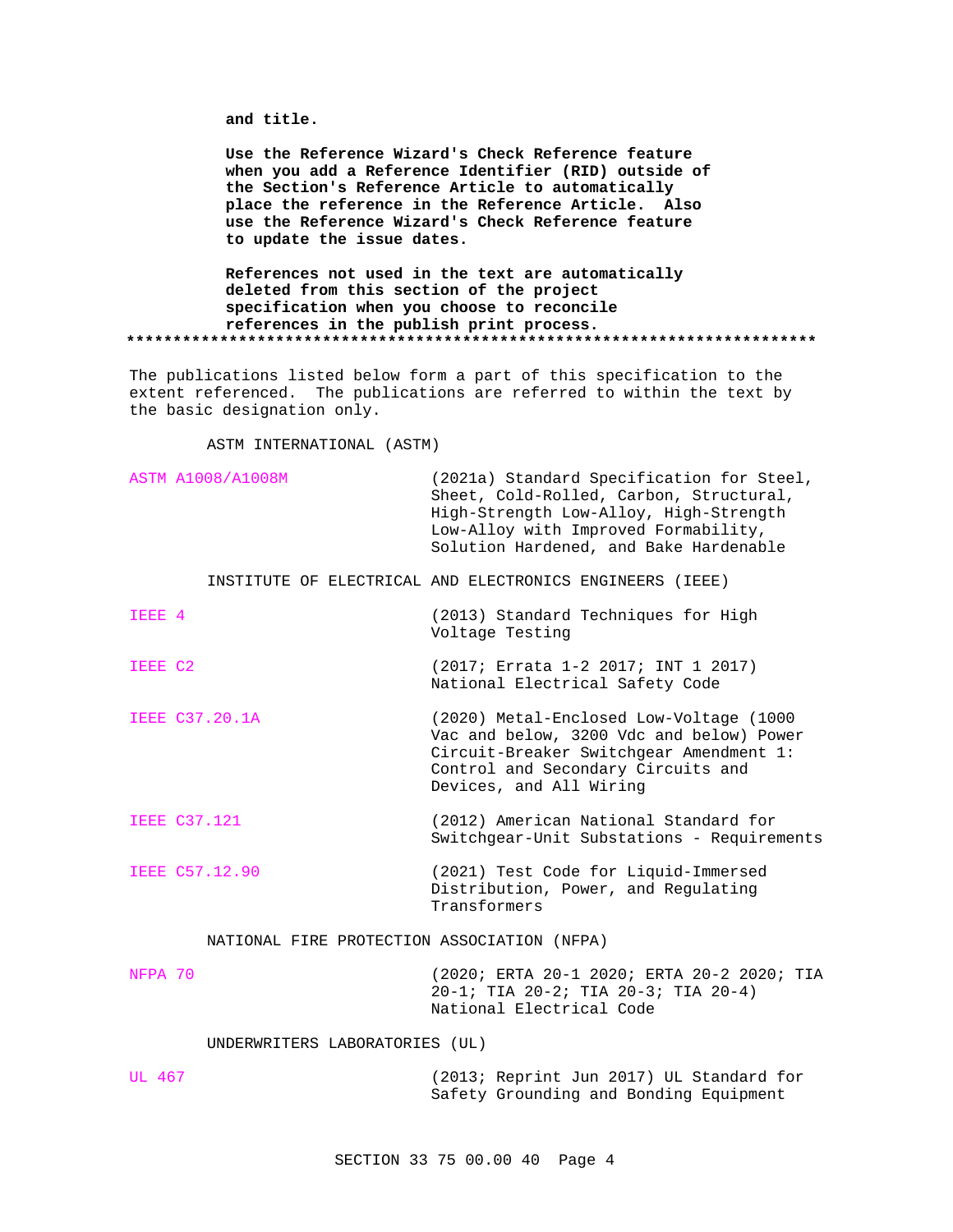**and title.**

**Use the Reference Wizard's Check Reference feature when you add a Reference Identifier (RID) outside of the Section's Reference Article to automatically place the reference in the Reference Article. Also use the Reference Wizard's Check Reference feature to update the issue dates.**

**References not used in the text are automatically deleted from this section of the project specification when you choose to reconcile references in the publish print process. \*\*\*\*\*\*\*\*\*\*\*\*\*\*\*\*\*\*\*\*\*\*\*\*\*\*\*\*\*\*\*\*\*\*\*\*\*\*\*\*\*\*\*\*\*\*\*\*\*\*\*\*\*\*\*\*\*\*\*\*\*\*\*\*\*\*\*\*\*\*\*\*\*\***

The publications listed below form a part of this specification to the extent referenced. The publications are referred to within the text by the basic designation only.

ASTM INTERNATIONAL (ASTM)

|                                             | <b>ASTM A1008/A1008M</b>       | (2021a) Standard Specification for Steel,<br>Sheet, Cold-Rolled, Carbon, Structural,<br>High-Strength Low-Alloy, High-Strength<br>Low-Alloy with Improved Formability,<br>Solution Hardened, and Bake Hardenable |
|---------------------------------------------|--------------------------------|------------------------------------------------------------------------------------------------------------------------------------------------------------------------------------------------------------------|
|                                             |                                | INSTITUTE OF ELECTRICAL AND ELECTRONICS ENGINEERS (IEEE)                                                                                                                                                         |
| IEEE 4                                      |                                | (2013) Standard Techniques for High<br>Voltage Testing                                                                                                                                                           |
| IEEE C2                                     |                                | (2017; Errata 1-2 2017; INT 1 2017)<br>National Electrical Safety Code                                                                                                                                           |
|                                             | <b>IEEE C37.20.1A</b>          | (2020) Metal-Enclosed Low-Voltage (1000<br>Vac and below, 3200 Vdc and below) Power<br>Circuit-Breaker Switchgear Amendment 1:<br>Control and Secondary Circuits and<br>Devices, and All Wiring                  |
|                                             | <b>IEEE C37.121</b>            | (2012) American National Standard for<br>Switchgear-Unit Substations - Requirements                                                                                                                              |
|                                             | IEEE C57.12.90                 | (2021) Test Code for Liquid-Immersed<br>Distribution, Power, and Regulating<br>Transformers                                                                                                                      |
| NATIONAL FIRE PROTECTION ASSOCIATION (NFPA) |                                |                                                                                                                                                                                                                  |
| NFPA 70                                     |                                | (2020; ERTA 20-1 2020; ERTA 20-2 2020; TIA<br>20-1; TIA 20-2; TIA 20-3; TIA 20-4)<br>National Electrical Code                                                                                                    |
|                                             | UNDERWRITERS LABORATORIES (UL) |                                                                                                                                                                                                                  |
| UL 467                                      |                                | (2013; Reprint Jun 2017) UL Standard for<br>Safety Grounding and Bonding Equipment                                                                                                                               |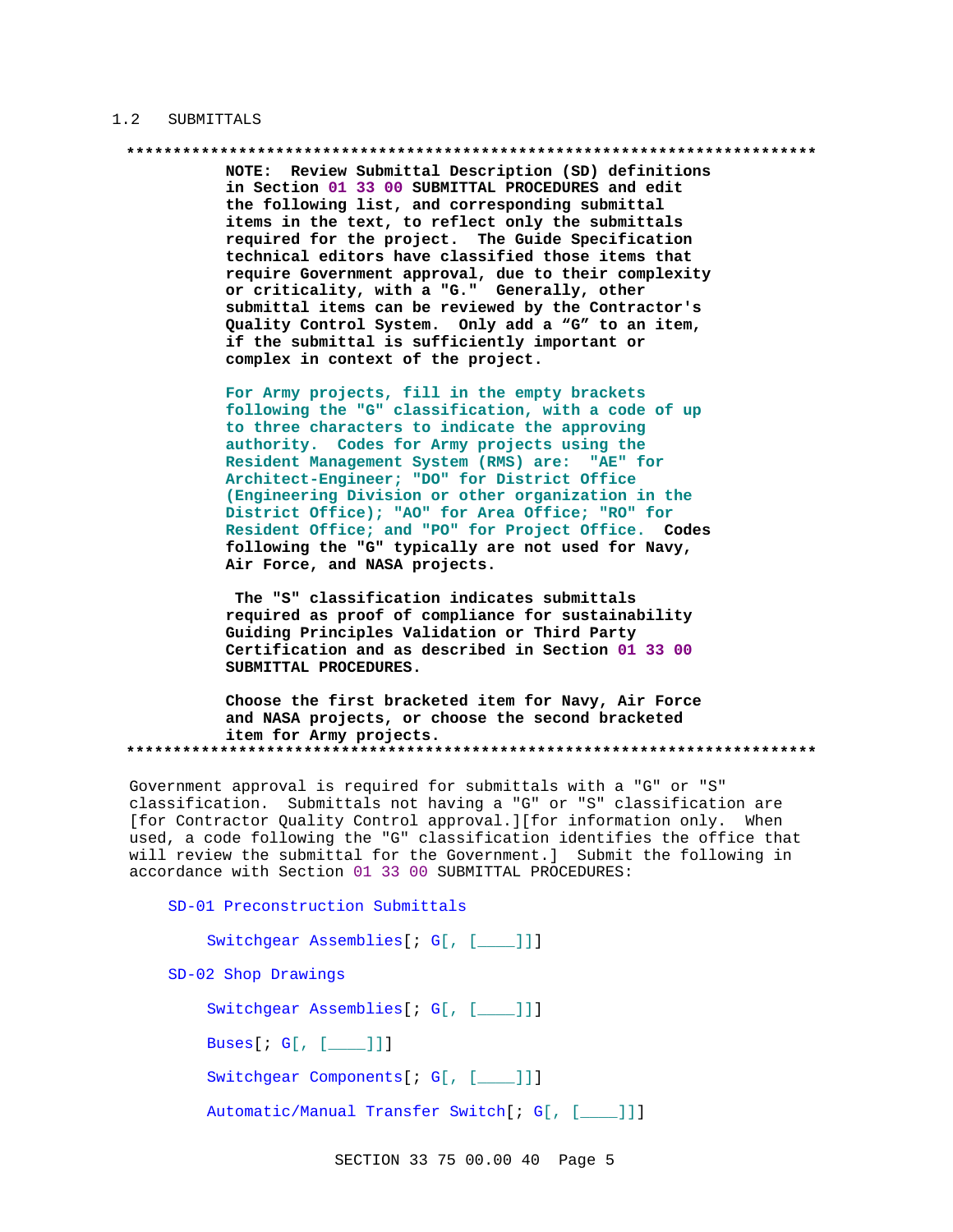#### 1.2 SUBMITTALS

## **\*\*\*\*\*\*\*\*\*\*\*\*\*\*\*\*\*\*\*\*\*\*\*\*\*\*\*\*\*\*\*\*\*\*\*\*\*\*\*\*\*\*\*\*\*\*\*\*\*\*\*\*\*\*\*\*\*\*\*\*\*\*\*\*\*\*\*\*\*\*\*\*\*\***

**NOTE: Review Submittal Description (SD) definitions in Section 01 33 00 SUBMITTAL PROCEDURES and edit the following list, and corresponding submittal items in the text, to reflect only the submittals required for the project. The Guide Specification technical editors have classified those items that require Government approval, due to their complexity or criticality, with a "G." Generally, other submittal items can be reviewed by the Contractor's Quality Control System. Only add a "G" to an item, if the submittal is sufficiently important or complex in context of the project.**

**For Army projects, fill in the empty brackets following the "G" classification, with a code of up to three characters to indicate the approving authority. Codes for Army projects using the Resident Management System (RMS) are: "AE" for Architect-Engineer; "DO" for District Office (Engineering Division or other organization in the District Office); "AO" for Area Office; "RO" for Resident Office; and "PO" for Project Office. Codes following the "G" typically are not used for Navy, Air Force, and NASA projects.**

**The "S" classification indicates submittals required as proof of compliance for sustainability Guiding Principles Validation or Third Party Certification and as described in Section 01 33 00 SUBMITTAL PROCEDURES.**

**Choose the first bracketed item for Navy, Air Force and NASA projects, or choose the second bracketed item for Army projects. \*\*\*\*\*\*\*\*\*\*\*\*\*\*\*\*\*\*\*\*\*\*\*\*\*\*\*\*\*\*\*\*\*\*\*\*\*\*\*\*\*\*\*\*\*\*\*\*\*\*\*\*\*\*\*\*\*\*\*\*\*\*\*\*\*\*\*\*\*\*\*\*\*\***

Government approval is required for submittals with a "G" or "S" classification. Submittals not having a "G" or "S" classification are [for Contractor Quality Control approval.][for information only. When used, a code following the "G" classification identifies the office that will review the submittal for the Government.] Submit the following in accordance with Section 01 33 00 SUBMITTAL PROCEDURES:

SD-01 Preconstruction Submittals Switchgear Assemblies[; G[, [\_\_\_\_]]] SD-02 Shop Drawings Switchgear Assemblies[; G[, [\_\_\_\_]]] Buses[; G[, [\_\_\_\_]]] Switchgear Components[; G[, [\_\_\_\_]]] Automatic/Manual Transfer Switch[; G[, [\_\_\_\_]]]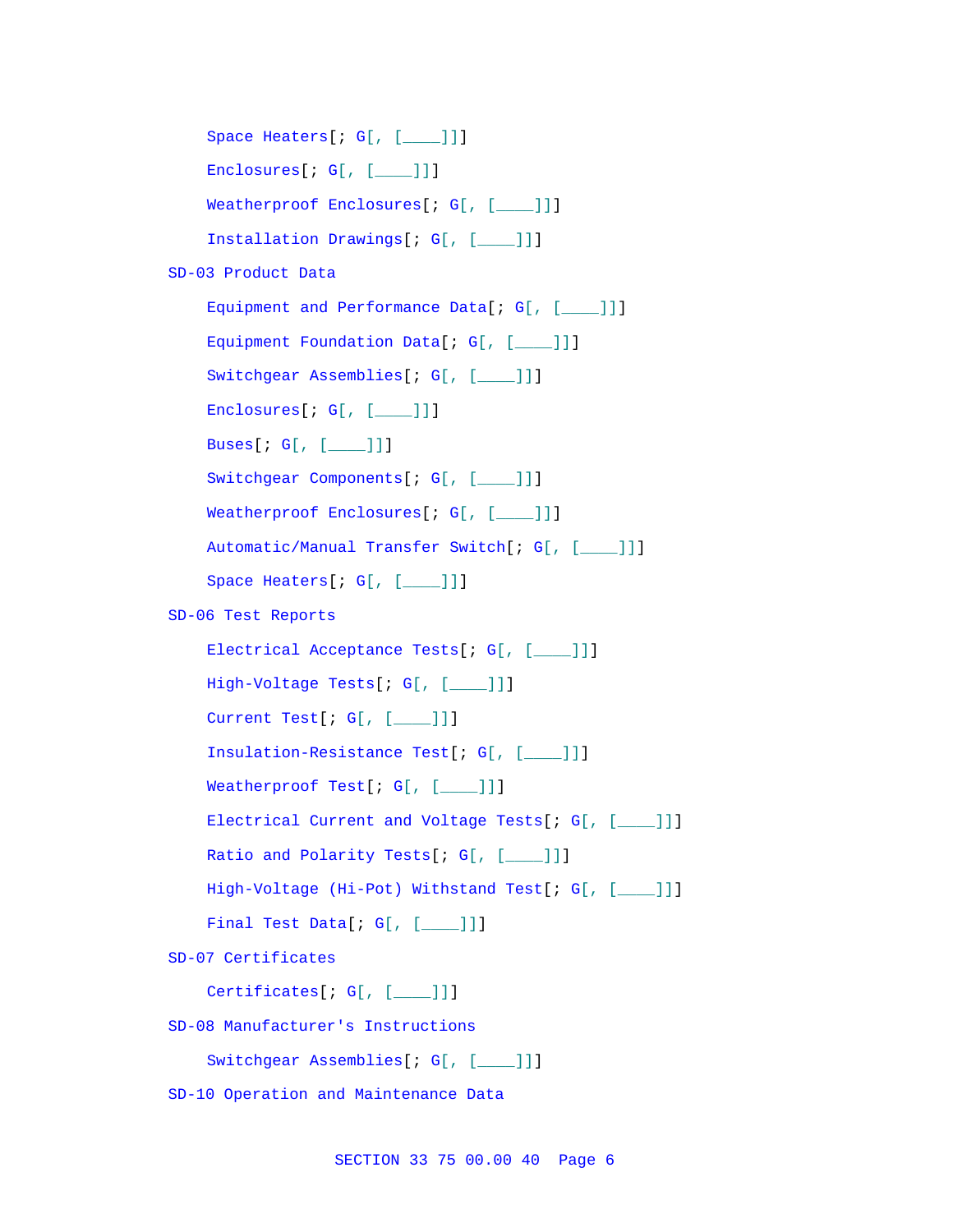```
Space Heaters[; G[, [____]]]
    Enclosures[; G[, [____]]]
    Weatherproof Enclosures[; G[, [____]]]
    Installation Drawings[; G[, [____]]]
SD-03 Product Data
    Equipment and Performance Data[; G[, [___]]]
    Equipment Foundation Data[; G[, [____]]]
    Switchgear Assemblies[; G[, [____]]]
    Enclosures[; G[, [___]]]
    Buses[; G[, [____]]]
    Switchgear Components[; G[, [____]]]
    Weatherproof Enclosures[; G[, [____]]]
    Automatic/Manual Transfer Switch[; G[, [____]]]
    Space Heaters[; G[, [___]]]
SD-06 Test Reports
    Electrical Acceptance Tests[; G[, [____]]]
    High-Voltage Tests[; G[, [____]]]
    Current Test[; G[, [___]]]
    Insulation-Resistance Test[; G[, [____]]]
    Weatherproof Test[; G[, [____]]]
    Electrical Current and Voltage Tests[; G[, [___]]]
    Ratio and Polarity Tests[; G[, [____]]]
    High-Voltage (Hi-Pot) Withstand Test[; G[, [____]]]
    Final Test Data[; G[, [____]]]
SD-07 Certificates
    Certificates[; G[, [____]]]
SD-08 Manufacturer's Instructions
    Switchgear Assemblies[; G[, [____]]]
SD-10 Operation and Maintenance Data
```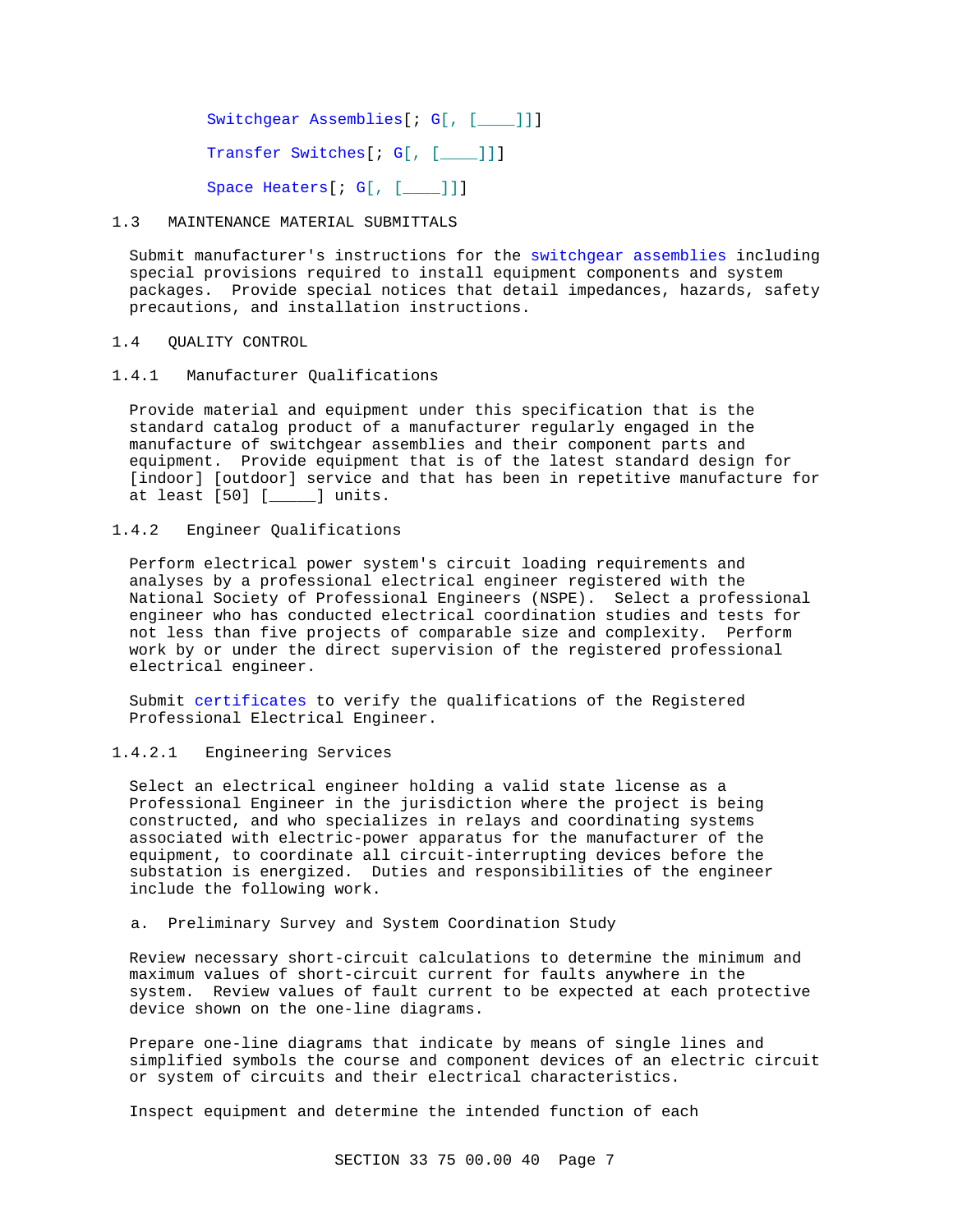Switchgear Assemblies[; G[, [\_\_\_\_]]]

Transfer Switches[; G[, [\_\_\_]]]

Space Heaters[; G[, [\_\_\_]]]

### 1.3 MAINTENANCE MATERIAL SUBMITTALS

Submit manufacturer's instructions for the switchgear assemblies including special provisions required to install equipment components and system packages. Provide special notices that detail impedances, hazards, safety precautions, and installation instructions.

## 1.4 QUALITY CONTROL

1.4.1 Manufacturer Qualifications

Provide material and equipment under this specification that is the standard catalog product of a manufacturer regularly engaged in the manufacture of switchgear assemblies and their component parts and equipment. Provide equipment that is of the latest standard design for [indoor] [outdoor] service and that has been in repetitive manufacture for at least [50] [\_\_\_\_\_] units.

## 1.4.2 Engineer Qualifications

Perform electrical power system's circuit loading requirements and analyses by a professional electrical engineer registered with the National Society of Professional Engineers (NSPE). Select a professional engineer who has conducted electrical coordination studies and tests for not less than five projects of comparable size and complexity. Perform work by or under the direct supervision of the registered professional electrical engineer.

Submit certificates to verify the qualifications of the Registered Professional Electrical Engineer.

## 1.4.2.1 Engineering Services

Select an electrical engineer holding a valid state license as a Professional Engineer in the jurisdiction where the project is being constructed, and who specializes in relays and coordinating systems associated with electric-power apparatus for the manufacturer of the equipment, to coordinate all circuit-interrupting devices before the substation is energized. Duties and responsibilities of the engineer include the following work.

## a. Preliminary Survey and System Coordination Study

Review necessary short-circuit calculations to determine the minimum and maximum values of short-circuit current for faults anywhere in the system. Review values of fault current to be expected at each protective device shown on the one-line diagrams.

Prepare one-line diagrams that indicate by means of single lines and simplified symbols the course and component devices of an electric circuit or system of circuits and their electrical characteristics.

Inspect equipment and determine the intended function of each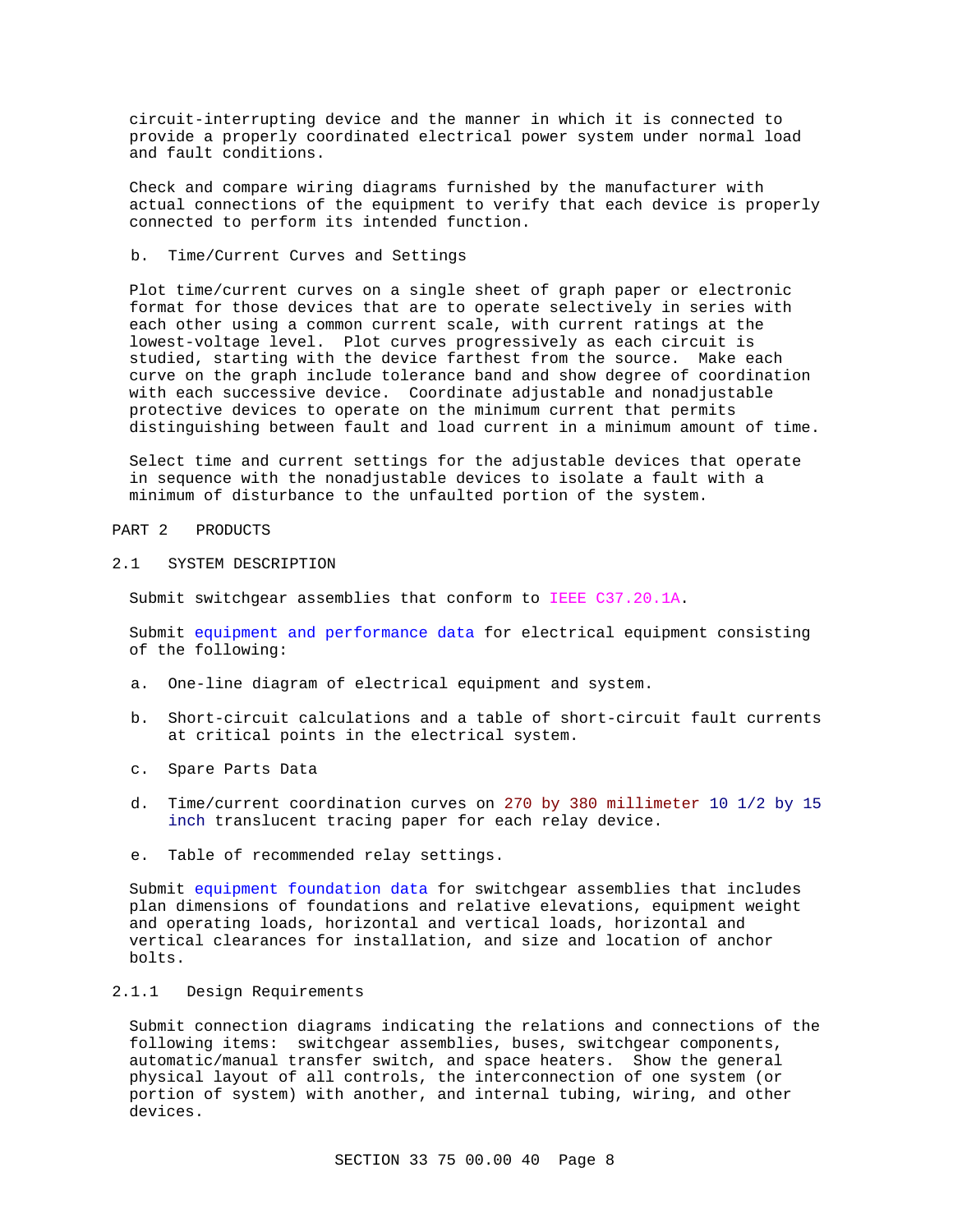circuit-interrupting device and the manner in which it is connected to provide a properly coordinated electrical power system under normal load and fault conditions.

Check and compare wiring diagrams furnished by the manufacturer with actual connections of the equipment to verify that each device is properly connected to perform its intended function.

## b. Time/Current Curves and Settings

Plot time/current curves on a single sheet of graph paper or electronic format for those devices that are to operate selectively in series with each other using a common current scale, with current ratings at the lowest-voltage level. Plot curves progressively as each circuit is studied, starting with the device farthest from the source. Make each curve on the graph include tolerance band and show degree of coordination with each successive device. Coordinate adjustable and nonadjustable protective devices to operate on the minimum current that permits distinguishing between fault and load current in a minimum amount of time.

Select time and current settings for the adjustable devices that operate in sequence with the nonadjustable devices to isolate a fault with a minimum of disturbance to the unfaulted portion of the system.

PART 2 PRODUCTS

#### 2.1 SYSTEM DESCRIPTION

Submit switchgear assemblies that conform to IEEE C37.20.1A.

Submit equipment and performance data for electrical equipment consisting of the following:

- a. One-line diagram of electrical equipment and system.
- b. Short-circuit calculations and a table of short-circuit fault currents at critical points in the electrical system.
- c. Spare Parts Data
- d. Time/current coordination curves on 270 by 380 millimeter 10 1/2 by 15 inch translucent tracing paper for each relay device.
- e. Table of recommended relay settings.

Submit equipment foundation data for switchgear assemblies that includes plan dimensions of foundations and relative elevations, equipment weight and operating loads, horizontal and vertical loads, horizontal and vertical clearances for installation, and size and location of anchor bolts.

### 2.1.1 Design Requirements

Submit connection diagrams indicating the relations and connections of the following items: switchgear assemblies, buses, switchgear components, automatic/manual transfer switch, and space heaters. Show the general physical layout of all controls, the interconnection of one system (or portion of system) with another, and internal tubing, wiring, and other devices.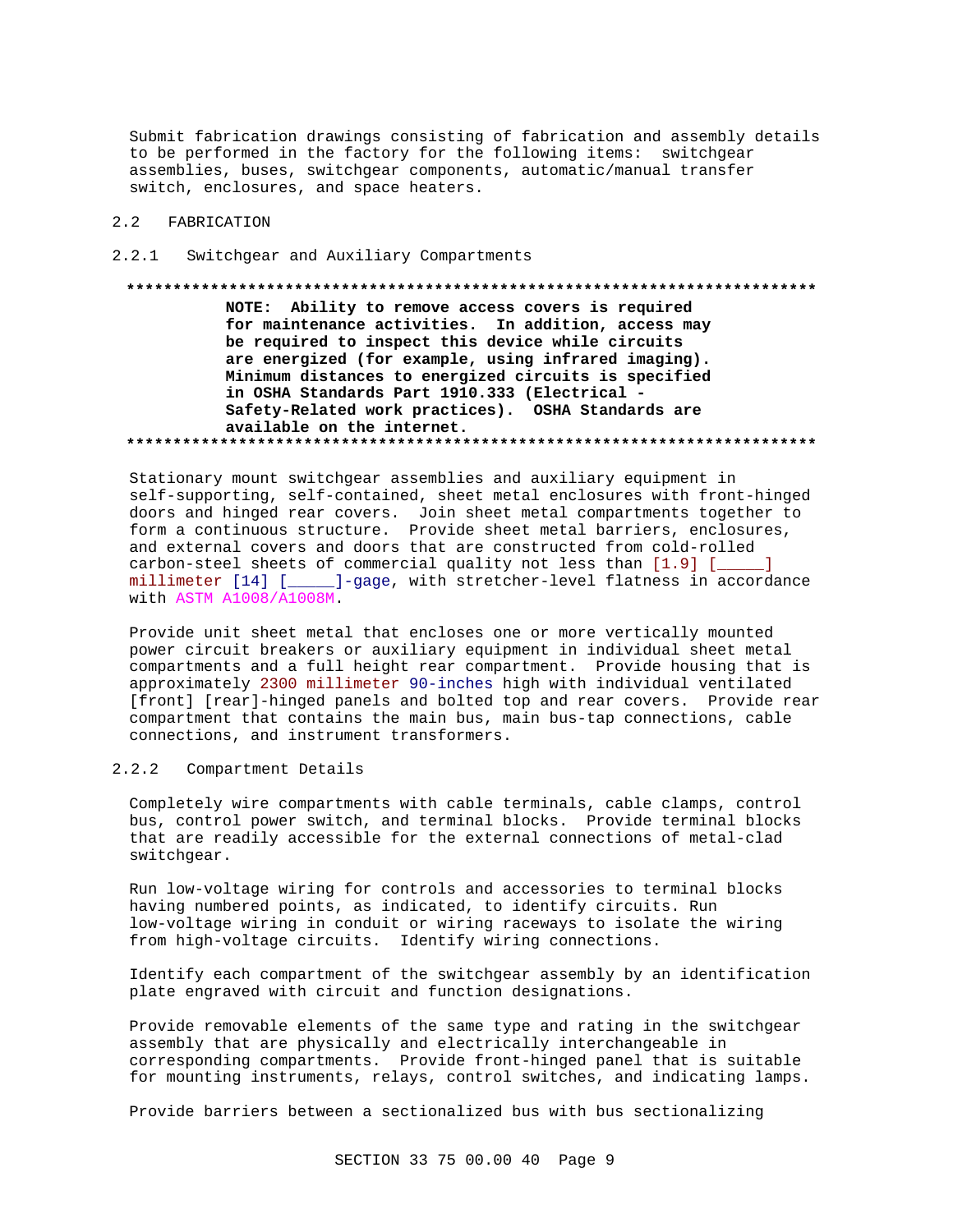Submit fabrication drawings consisting of fabrication and assembly details to be performed in the factory for the following items: switchgear assemblies, buses, switchgear components, automatic/manual transfer switch, enclosures, and space heaters.

### 2.2 FABRICATION

#### 2.2.1 Switchgear and Auxiliary Compartments

**\*\*\*\*\*\*\*\*\*\*\*\*\*\*\*\*\*\*\*\*\*\*\*\*\*\*\*\*\*\*\*\*\*\*\*\*\*\*\*\*\*\*\*\*\*\*\*\*\*\*\*\*\*\*\*\*\*\*\*\*\*\*\*\*\*\*\*\*\*\*\*\*\*\* NOTE: Ability to remove access covers is required for maintenance activities. In addition, access may be required to inspect this device while circuits are energized (for example, using infrared imaging). Minimum distances to energized circuits is specified in OSHA Standards Part 1910.333 (Electrical - Safety-Related work practices). OSHA Standards are available on the internet. \*\*\*\*\*\*\*\*\*\*\*\*\*\*\*\*\*\*\*\*\*\*\*\*\*\*\*\*\*\*\*\*\*\*\*\*\*\*\*\*\*\*\*\*\*\*\*\*\*\*\*\*\*\*\*\*\*\*\*\*\*\*\*\*\*\*\*\*\*\*\*\*\*\***

Stationary mount switchgear assemblies and auxiliary equipment in self-supporting, self-contained, sheet metal enclosures with front-hinged doors and hinged rear covers. Join sheet metal compartments together to form a continuous structure. Provide sheet metal barriers, enclosures, and external covers and doors that are constructed from cold-rolled carbon-steel sheets of commercial quality not less than [1.9] [\_\_\_\_\_] millimeter [14] [\_\_\_\_\_]-gage, with stretcher-level flatness in accordance with ASTM A1008/A1008M.

Provide unit sheet metal that encloses one or more vertically mounted power circuit breakers or auxiliary equipment in individual sheet metal compartments and a full height rear compartment. Provide housing that is approximately 2300 millimeter 90-inches high with individual ventilated [front] [rear]-hinged panels and bolted top and rear covers. Provide rear compartment that contains the main bus, main bus-tap connections, cable connections, and instrument transformers.

## 2.2.2 Compartment Details

Completely wire compartments with cable terminals, cable clamps, control bus, control power switch, and terminal blocks. Provide terminal blocks that are readily accessible for the external connections of metal-clad switchgear.

Run low-voltage wiring for controls and accessories to terminal blocks having numbered points, as indicated, to identify circuits. Run low-voltage wiring in conduit or wiring raceways to isolate the wiring from high-voltage circuits. Identify wiring connections.

Identify each compartment of the switchgear assembly by an identification plate engraved with circuit and function designations.

Provide removable elements of the same type and rating in the switchgear assembly that are physically and electrically interchangeable in corresponding compartments. Provide front-hinged panel that is suitable for mounting instruments, relays, control switches, and indicating lamps.

Provide barriers between a sectionalized bus with bus sectionalizing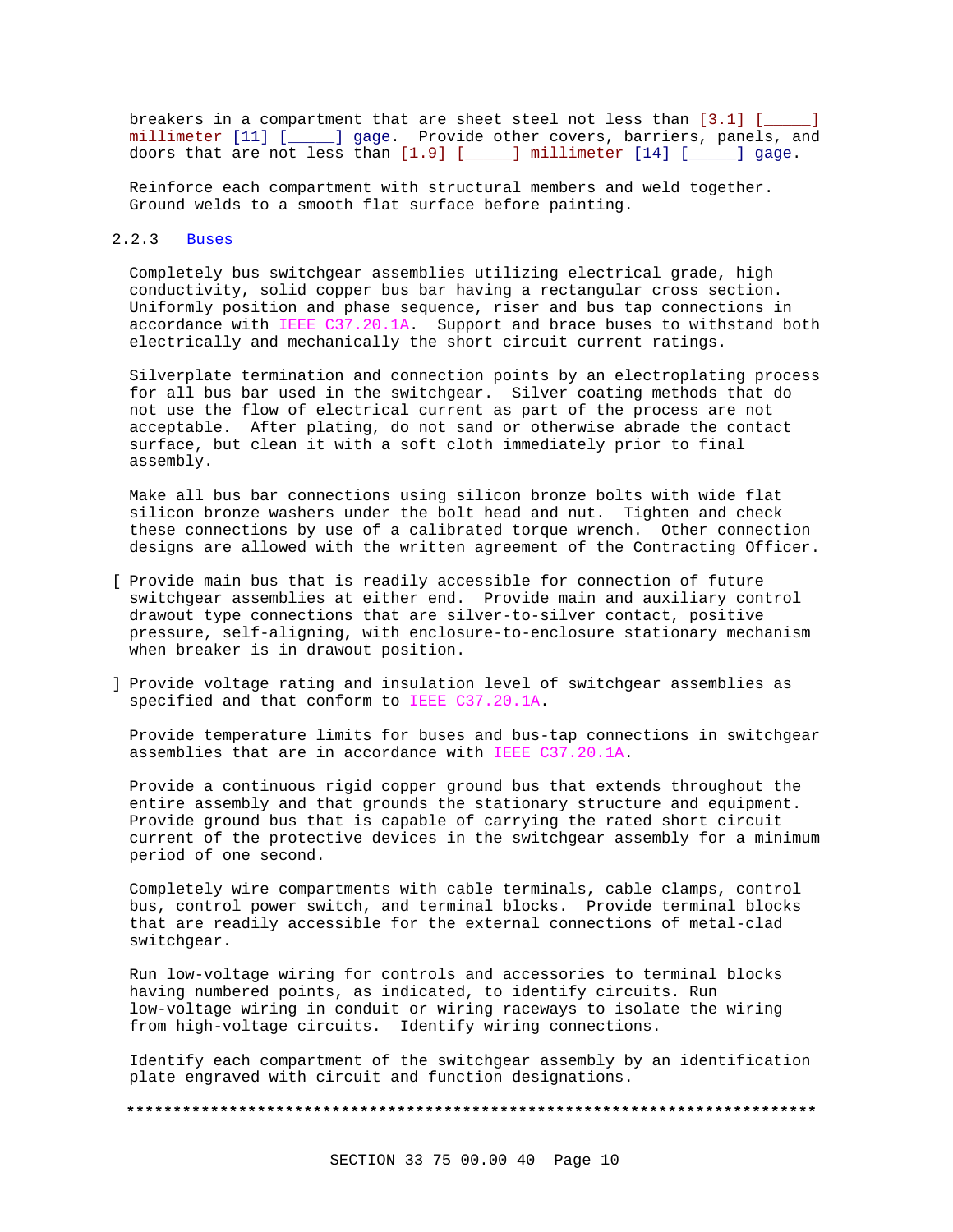breakers in a compartment that are sheet steel not less than [3.1] [ millimeter [11] [\_\_\_\_\_] gage. Provide other covers, barriers, panels, and doors that are not less than [1.9] [\_\_\_\_\_] millimeter [14] [\_\_\_\_\_] gage.

Reinforce each compartment with structural members and weld together. Ground welds to a smooth flat surface before painting.

### 2.2.3 Buses

Completely bus switchgear assemblies utilizing electrical grade, high conductivity, solid copper bus bar having a rectangular cross section. Uniformly position and phase sequence, riser and bus tap connections in accordance with IEEE C37.20.1A. Support and brace buses to withstand both electrically and mechanically the short circuit current ratings.

Silverplate termination and connection points by an electroplating process for all bus bar used in the switchgear. Silver coating methods that do not use the flow of electrical current as part of the process are not acceptable. After plating, do not sand or otherwise abrade the contact surface, but clean it with a soft cloth immediately prior to final assembly.

Make all bus bar connections using silicon bronze bolts with wide flat silicon bronze washers under the bolt head and nut. Tighten and check these connections by use of a calibrated torque wrench. Other connection designs are allowed with the written agreement of the Contracting Officer.

- [ Provide main bus that is readily accessible for connection of future switchgear assemblies at either end. Provide main and auxiliary control drawout type connections that are silver-to-silver contact, positive pressure, self-aligning, with enclosure-to-enclosure stationary mechanism when breaker is in drawout position.
- ] Provide voltage rating and insulation level of switchgear assemblies as specified and that conform to IEEE C37.20.1A.

Provide temperature limits for buses and bus-tap connections in switchgear assemblies that are in accordance with IEEE C37.20.1A.

Provide a continuous rigid copper ground bus that extends throughout the entire assembly and that grounds the stationary structure and equipment. Provide ground bus that is capable of carrying the rated short circuit current of the protective devices in the switchgear assembly for a minimum period of one second.

Completely wire compartments with cable terminals, cable clamps, control bus, control power switch, and terminal blocks. Provide terminal blocks that are readily accessible for the external connections of metal-clad switchgear.

Run low-voltage wiring for controls and accessories to terminal blocks having numbered points, as indicated, to identify circuits. Run low-voltage wiring in conduit or wiring raceways to isolate the wiring from high-voltage circuits. Identify wiring connections.

Identify each compartment of the switchgear assembly by an identification plate engraved with circuit and function designations.

**\*\*\*\*\*\*\*\*\*\*\*\*\*\*\*\*\*\*\*\*\*\*\*\*\*\*\*\*\*\*\*\*\*\*\*\*\*\*\*\*\*\*\*\*\*\*\*\*\*\*\*\*\*\*\*\*\*\*\*\*\*\*\*\*\*\*\*\*\*\*\*\*\*\***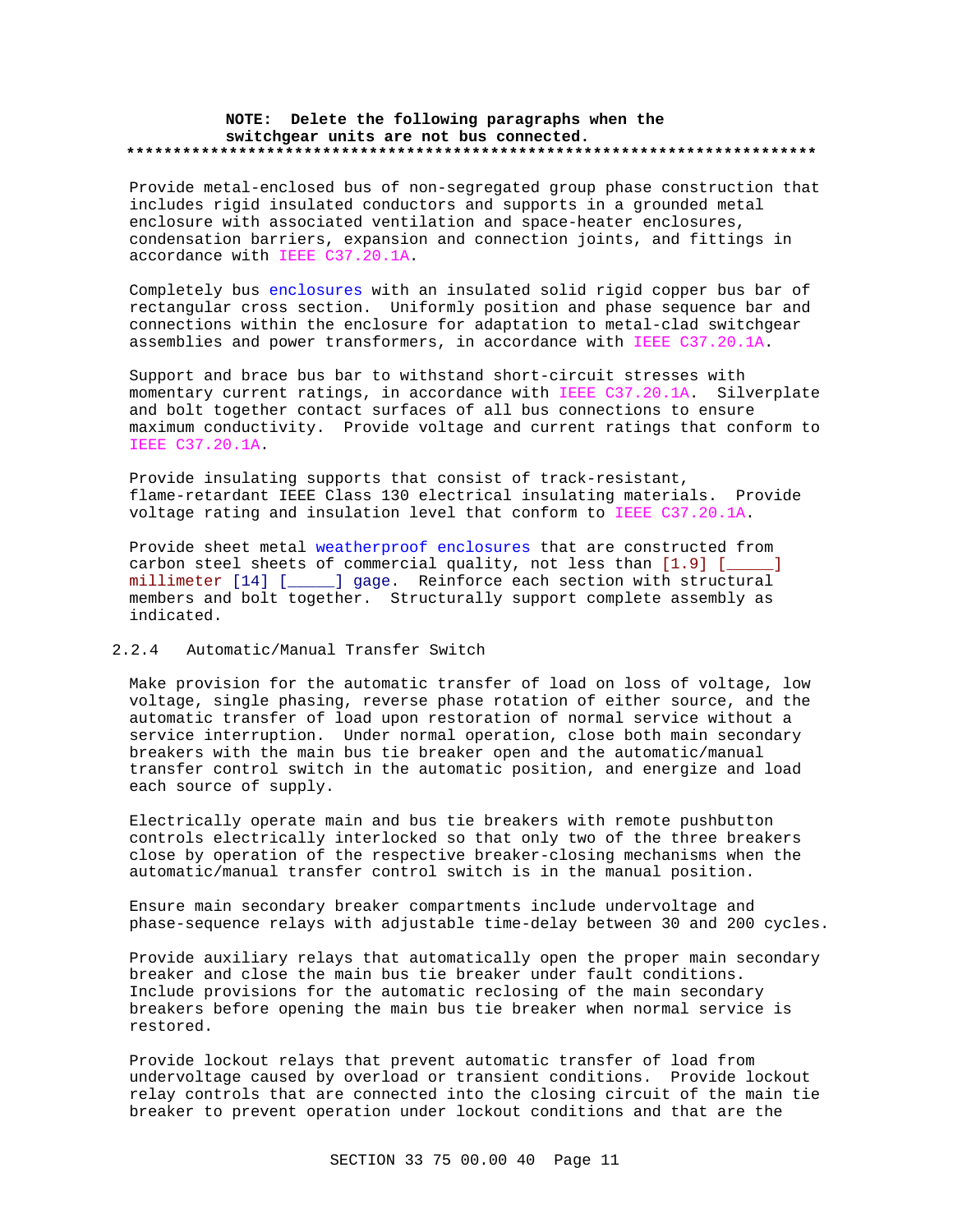## **NOTE: Delete the following paragraphs when the switchgear units are not bus connected. \*\*\*\*\*\*\*\*\*\*\*\*\*\*\*\*\*\*\*\*\*\*\*\*\*\*\*\*\*\*\*\*\*\*\*\*\*\*\*\*\*\*\*\*\*\*\*\*\*\*\*\*\*\*\*\*\*\*\*\*\*\*\*\*\*\*\*\*\*\*\*\*\*\***

Provide metal-enclosed bus of non-segregated group phase construction that includes rigid insulated conductors and supports in a grounded metal enclosure with associated ventilation and space-heater enclosures, condensation barriers, expansion and connection joints, and fittings in accordance with IEEE C37.20.1A.

Completely bus enclosures with an insulated solid rigid copper bus bar of rectangular cross section. Uniformly position and phase sequence bar and connections within the enclosure for adaptation to metal-clad switchgear assemblies and power transformers, in accordance with IEEE C37.20.1A.

Support and brace bus bar to withstand short-circuit stresses with momentary current ratings, in accordance with IEEE C37.20.1A. Silverplate and bolt together contact surfaces of all bus connections to ensure maximum conductivity. Provide voltage and current ratings that conform to IEEE C37.20.1A.

Provide insulating supports that consist of track-resistant, flame-retardant IEEE Class 130 electrical insulating materials. Provide voltage rating and insulation level that conform to IEEE C37.20.1A.

Provide sheet metal weatherproof enclosures that are constructed from carbon steel sheets of commercial quality, not less than [1.9] [\_\_\_\_\_] millimeter [14] [\_\_\_\_\_] gage. Reinforce each section with structural members and bolt together. Structurally support complete assembly as indicated.

## 2.2.4 Automatic/Manual Transfer Switch

Make provision for the automatic transfer of load on loss of voltage, low voltage, single phasing, reverse phase rotation of either source, and the automatic transfer of load upon restoration of normal service without a service interruption. Under normal operation, close both main secondary breakers with the main bus tie breaker open and the automatic/manual transfer control switch in the automatic position, and energize and load each source of supply.

Electrically operate main and bus tie breakers with remote pushbutton controls electrically interlocked so that only two of the three breakers close by operation of the respective breaker-closing mechanisms when the automatic/manual transfer control switch is in the manual position.

Ensure main secondary breaker compartments include undervoltage and phase-sequence relays with adjustable time-delay between 30 and 200 cycles.

Provide auxiliary relays that automatically open the proper main secondary breaker and close the main bus tie breaker under fault conditions. Include provisions for the automatic reclosing of the main secondary breakers before opening the main bus tie breaker when normal service is restored.

Provide lockout relays that prevent automatic transfer of load from undervoltage caused by overload or transient conditions. Provide lockout relay controls that are connected into the closing circuit of the main tie breaker to prevent operation under lockout conditions and that are the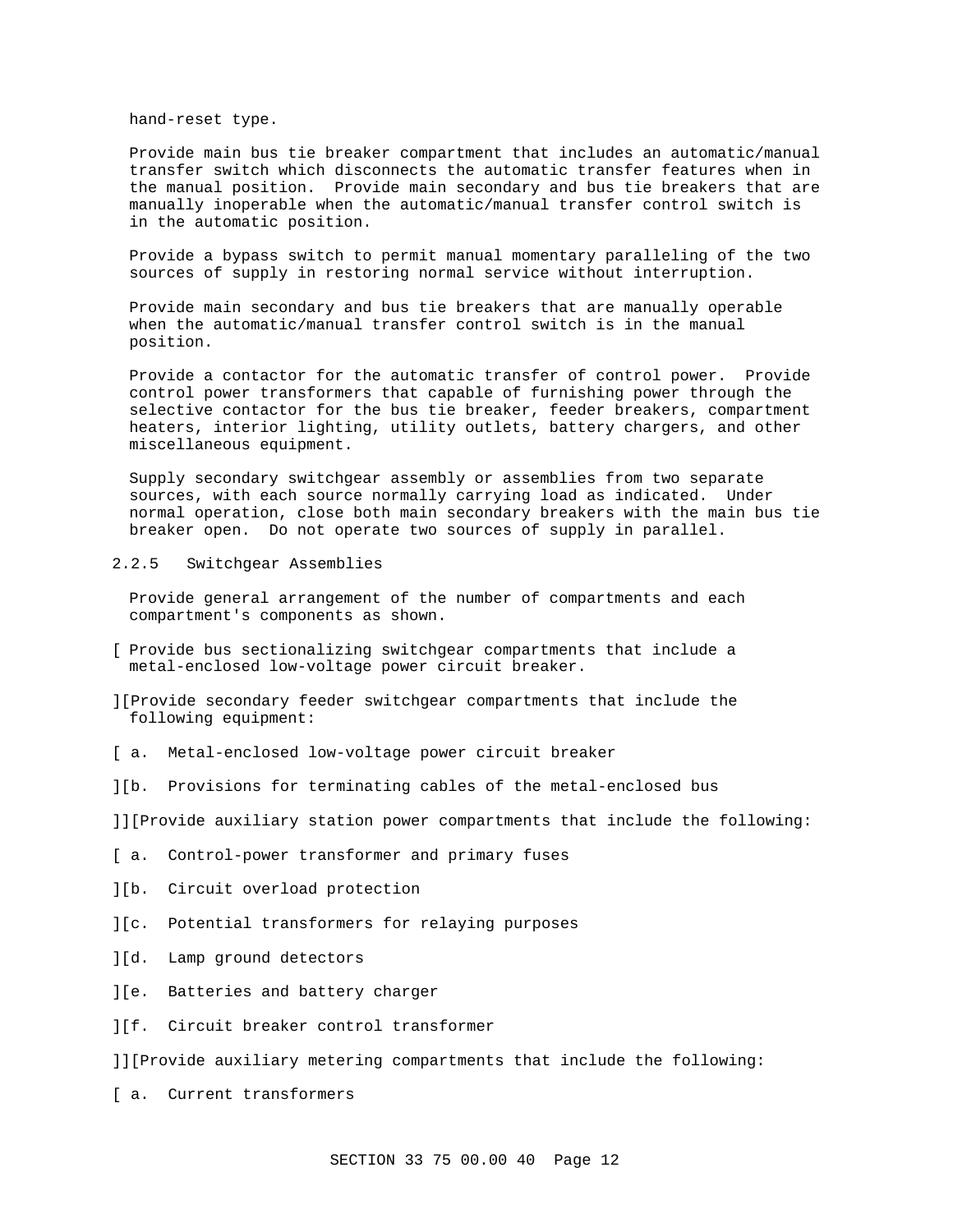hand-reset type.

Provide main bus tie breaker compartment that includes an automatic/manual transfer switch which disconnects the automatic transfer features when in the manual position. Provide main secondary and bus tie breakers that are manually inoperable when the automatic/manual transfer control switch is in the automatic position.

Provide a bypass switch to permit manual momentary paralleling of the two sources of supply in restoring normal service without interruption.

Provide main secondary and bus tie breakers that are manually operable when the automatic/manual transfer control switch is in the manual position.

Provide a contactor for the automatic transfer of control power. Provide control power transformers that capable of furnishing power through the selective contactor for the bus tie breaker, feeder breakers, compartment heaters, interior lighting, utility outlets, battery chargers, and other miscellaneous equipment.

Supply secondary switchgear assembly or assemblies from two separate sources, with each source normally carrying load as indicated. Under normal operation, close both main secondary breakers with the main bus tie breaker open. Do not operate two sources of supply in parallel.

### 2.2.5 Switchgear Assemblies

Provide general arrangement of the number of compartments and each compartment's components as shown.

- [ Provide bus sectionalizing switchgear compartments that include a metal-enclosed low-voltage power circuit breaker.
- ][Provide secondary feeder switchgear compartments that include the following equipment:
- [ a. Metal-enclosed low-voltage power circuit breaker
- ][b. Provisions for terminating cables of the metal-enclosed bus

]][Provide auxiliary station power compartments that include the following:

- [ a. Control-power transformer and primary fuses
- ][b. Circuit overload protection
- ][c. Potential transformers for relaying purposes
- ][d. Lamp ground detectors
- ][e. Batteries and battery charger
- ][f. Circuit breaker control transformer

]][Provide auxiliary metering compartments that include the following:

[ a. Current transformers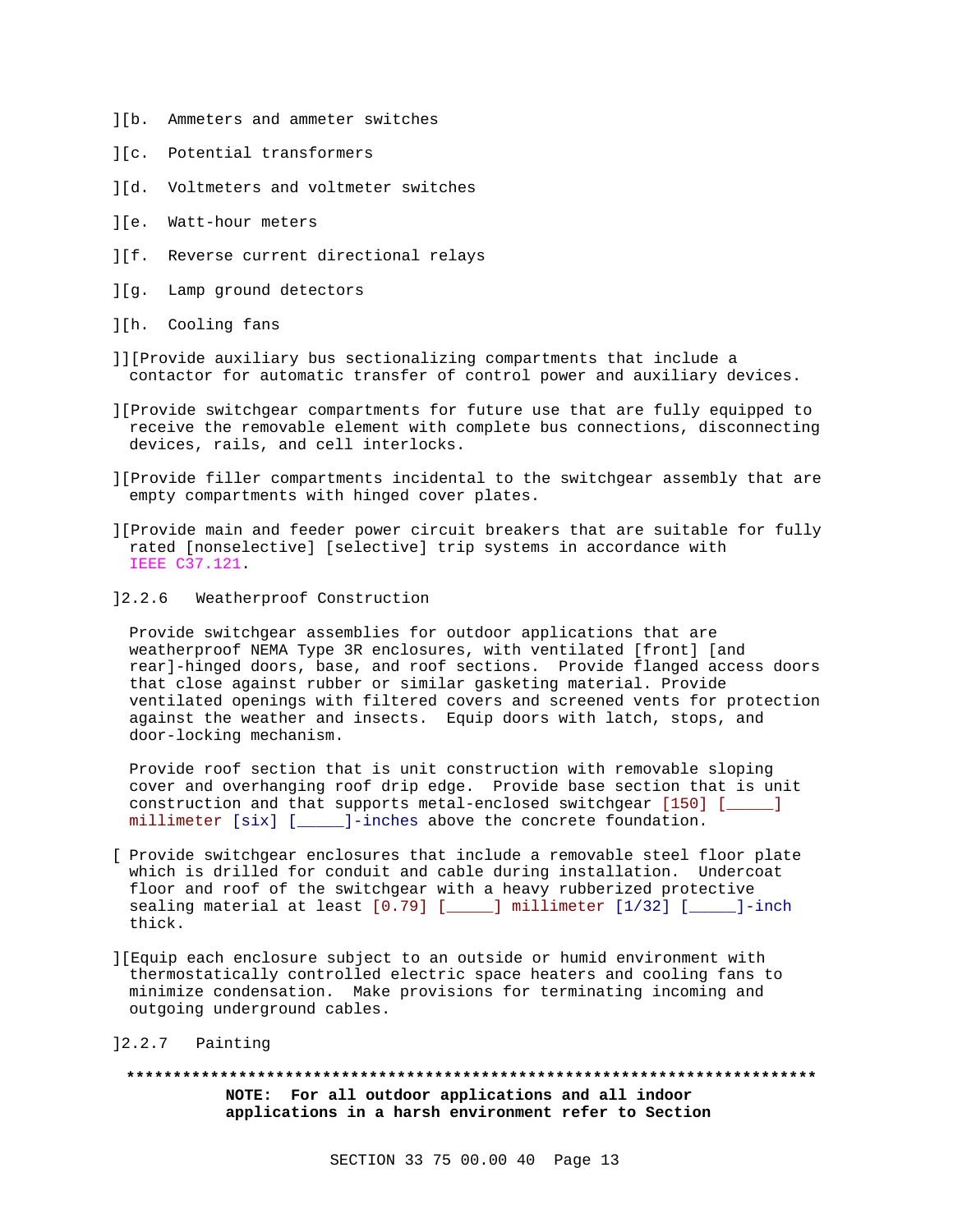- ][b. Ammeters and ammeter switches
- ][c. Potential transformers
- ][d. Voltmeters and voltmeter switches
- ][e. Watt-hour meters
- ][f. Reverse current directional relays
- ][g. Lamp ground detectors
- ][h. Cooling fans
- ]][Provide auxiliary bus sectionalizing compartments that include a contactor for automatic transfer of control power and auxiliary devices.
- ][Provide switchgear compartments for future use that are fully equipped to receive the removable element with complete bus connections, disconnecting devices, rails, and cell interlocks.
- ][Provide filler compartments incidental to the switchgear assembly that are empty compartments with hinged cover plates.
- ][Provide main and feeder power circuit breakers that are suitable for fully rated [nonselective] [selective] trip systems in accordance with IEEE C37.121.
- ]2.2.6 Weatherproof Construction

Provide switchgear assemblies for outdoor applications that are weatherproof NEMA Type 3R enclosures, with ventilated [front] [and rear]-hinged doors, base, and roof sections. Provide flanged access doors that close against rubber or similar gasketing material. Provide ventilated openings with filtered covers and screened vents for protection against the weather and insects. Equip doors with latch, stops, and door-locking mechanism.

Provide roof section that is unit construction with removable sloping cover and overhanging roof drip edge. Provide base section that is unit construction and that supports metal-enclosed switchgear [150] [\_\_\_\_\_] millimeter [six] [\_\_\_\_\_]-inches above the concrete foundation.

- [ Provide switchgear enclosures that include a removable steel floor plate which is drilled for conduit and cable during installation. Undercoat floor and roof of the switchgear with a heavy rubberized protective sealing material at least [0.79] [\_\_\_\_\_] millimeter [1/32] [\_\_\_\_\_]-inch thick.
- ][Equip each enclosure subject to an outside or humid environment with thermostatically controlled electric space heaters and cooling fans to minimize condensation. Make provisions for terminating incoming and outgoing underground cables.
- ]2.2.7 Painting

**\*\*\*\*\*\*\*\*\*\*\*\*\*\*\*\*\*\*\*\*\*\*\*\*\*\*\*\*\*\*\*\*\*\*\*\*\*\*\*\*\*\*\*\*\*\*\*\*\*\*\*\*\*\*\*\*\*\*\*\*\*\*\*\*\*\*\*\*\*\*\*\*\*\* NOTE: For all outdoor applications and all indoor applications in a harsh environment refer to Section**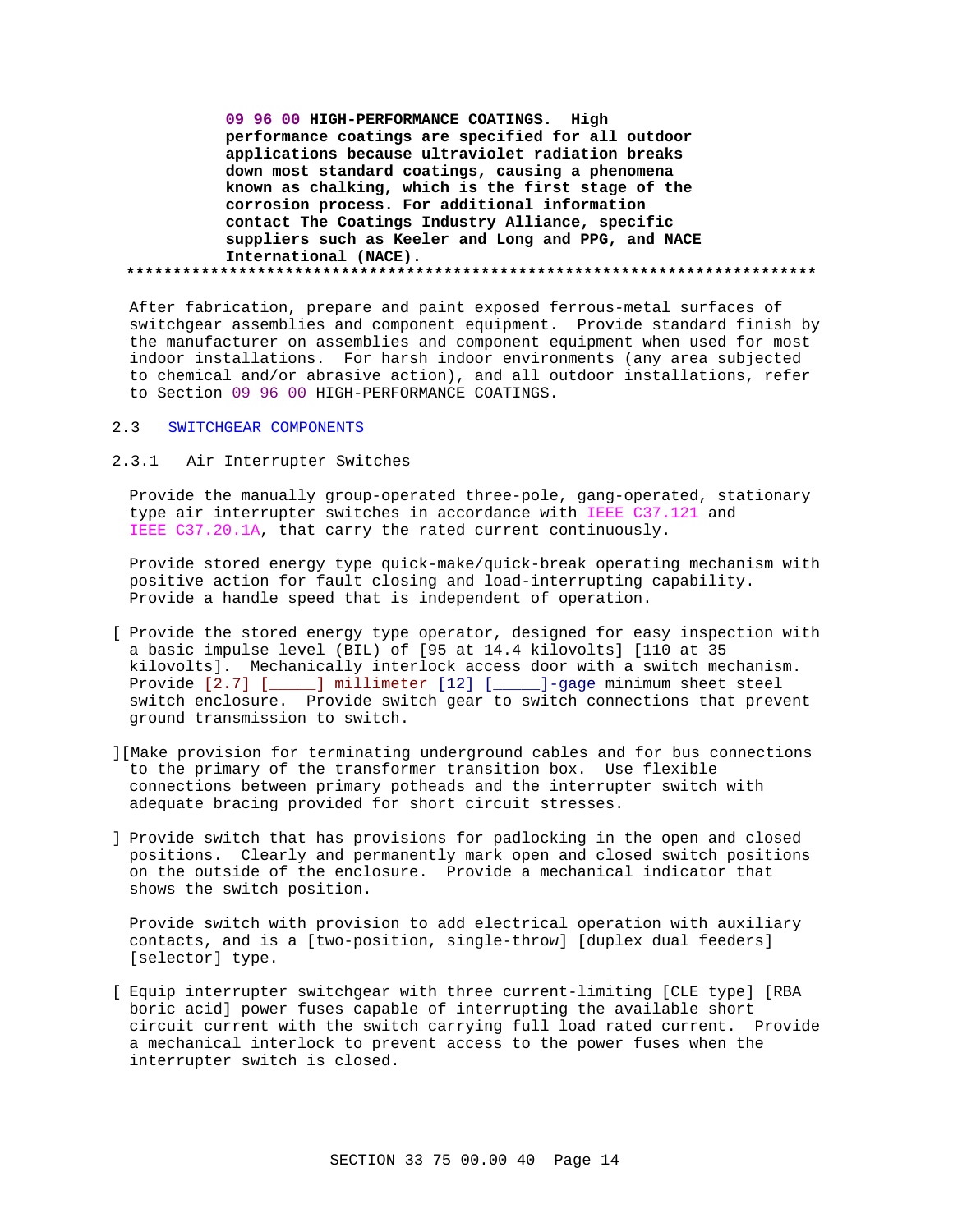**09 96 00 HIGH-PERFORMANCE COATINGS. High performance coatings are specified for all outdoor applications because ultraviolet radiation breaks down most standard coatings, causing a phenomena known as chalking, which is the first stage of the corrosion process. For additional information contact The Coatings Industry Alliance, specific suppliers such as Keeler and Long and PPG, and NACE International (NACE). \*\*\*\*\*\*\*\*\*\*\*\*\*\*\*\*\*\*\*\*\*\*\*\*\*\*\*\*\*\*\*\*\*\*\*\*\*\*\*\*\*\*\*\*\*\*\*\*\*\*\*\*\*\*\*\*\*\*\*\*\*\*\*\*\*\*\*\*\*\*\*\*\*\***

After fabrication, prepare and paint exposed ferrous-metal surfaces of switchgear assemblies and component equipment. Provide standard finish by the manufacturer on assemblies and component equipment when used for most indoor installations. For harsh indoor environments (any area subjected to chemical and/or abrasive action), and all outdoor installations, refer to Section 09 96 00 HIGH-PERFORMANCE COATINGS.

#### 2.3 SWITCHGEAR COMPONENTS

## 2.3.1 Air Interrupter Switches

Provide the manually group-operated three-pole, gang-operated, stationary type air interrupter switches in accordance with IEEE C37.121 and IEEE C37.20.1A, that carry the rated current continuously.

Provide stored energy type quick-make/quick-break operating mechanism with positive action for fault closing and load-interrupting capability. Provide a handle speed that is independent of operation.

- [ Provide the stored energy type operator, designed for easy inspection with a basic impulse level (BIL) of [95 at 14.4 kilovolts] [110 at 35 kilovolts]. Mechanically interlock access door with a switch mechanism. Provide [2.7] [\_\_\_\_\_] millimeter [12] [\_\_\_\_\_]-gage minimum sheet steel switch enclosure. Provide switch gear to switch connections that prevent ground transmission to switch.
- ][Make provision for terminating underground cables and for bus connections to the primary of the transformer transition box. Use flexible connections between primary potheads and the interrupter switch with adequate bracing provided for short circuit stresses.
- ] Provide switch that has provisions for padlocking in the open and closed positions. Clearly and permanently mark open and closed switch positions on the outside of the enclosure. Provide a mechanical indicator that shows the switch position.

Provide switch with provision to add electrical operation with auxiliary contacts, and is a [two-position, single-throw] [duplex dual feeders] [selector] type.

[ Equip interrupter switchgear with three current-limiting [CLE type] [RBA boric acid] power fuses capable of interrupting the available short circuit current with the switch carrying full load rated current. Provide a mechanical interlock to prevent access to the power fuses when the interrupter switch is closed.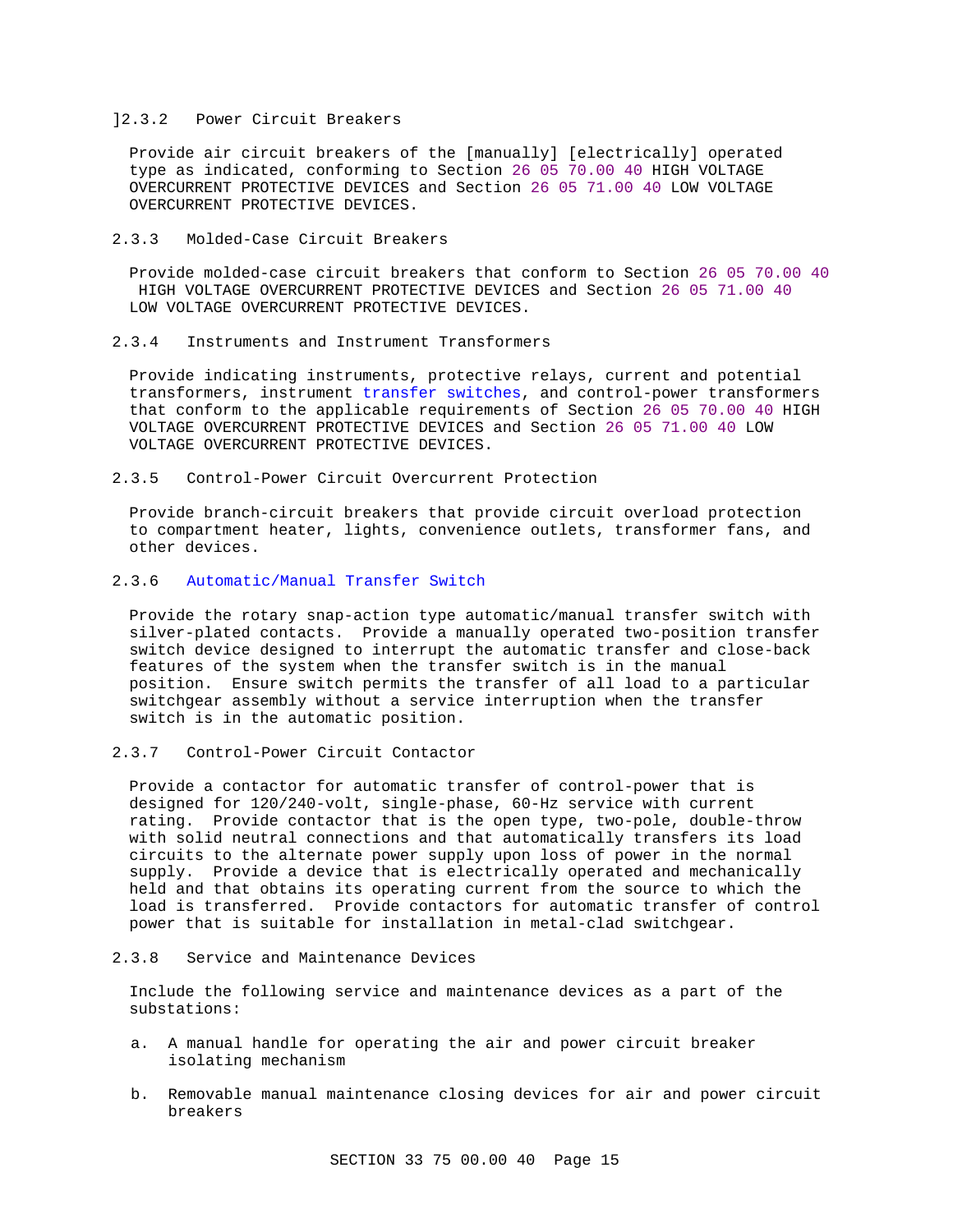### ]2.3.2 Power Circuit Breakers

Provide air circuit breakers of the [manually] [electrically] operated type as indicated, conforming to Section 26 05 70.00 40 HIGH VOLTAGE OVERCURRENT PROTECTIVE DEVICES and Section 26 05 71.00 40 LOW VOLTAGE OVERCURRENT PROTECTIVE DEVICES.

### 2.3.3 Molded-Case Circuit Breakers

Provide molded-case circuit breakers that conform to Section 26 05 70.00 40 HIGH VOLTAGE OVERCURRENT PROTECTIVE DEVICES and Section 26 05 71.00 40 LOW VOLTAGE OVERCURRENT PROTECTIVE DEVICES.

## 2.3.4 Instruments and Instrument Transformers

Provide indicating instruments, protective relays, current and potential transformers, instrument transfer switches, and control-power transformers that conform to the applicable requirements of Section 26 05 70.00 40 HIGH VOLTAGE OVERCURRENT PROTECTIVE DEVICES and Section 26 05 71.00 40 LOW VOLTAGE OVERCURRENT PROTECTIVE DEVICES.

2.3.5 Control-Power Circuit Overcurrent Protection

Provide branch-circuit breakers that provide circuit overload protection to compartment heater, lights, convenience outlets, transformer fans, and other devices.

# 2.3.6 Automatic/Manual Transfer Switch

Provide the rotary snap-action type automatic/manual transfer switch with silver-plated contacts. Provide a manually operated two-position transfer switch device designed to interrupt the automatic transfer and close-back features of the system when the transfer switch is in the manual position. Ensure switch permits the transfer of all load to a particular switchgear assembly without a service interruption when the transfer switch is in the automatic position.

### 2.3.7 Control-Power Circuit Contactor

Provide a contactor for automatic transfer of control-power that is designed for 120/240-volt, single-phase, 60-Hz service with current rating. Provide contactor that is the open type, two-pole, double-throw with solid neutral connections and that automatically transfers its load circuits to the alternate power supply upon loss of power in the normal supply. Provide a device that is electrically operated and mechanically held and that obtains its operating current from the source to which the load is transferred. Provide contactors for automatic transfer of control power that is suitable for installation in metal-clad switchgear.

#### 2.3.8 Service and Maintenance Devices

Include the following service and maintenance devices as a part of the substations:

- a. A manual handle for operating the air and power circuit breaker isolating mechanism
- b. Removable manual maintenance closing devices for air and power circuit breakers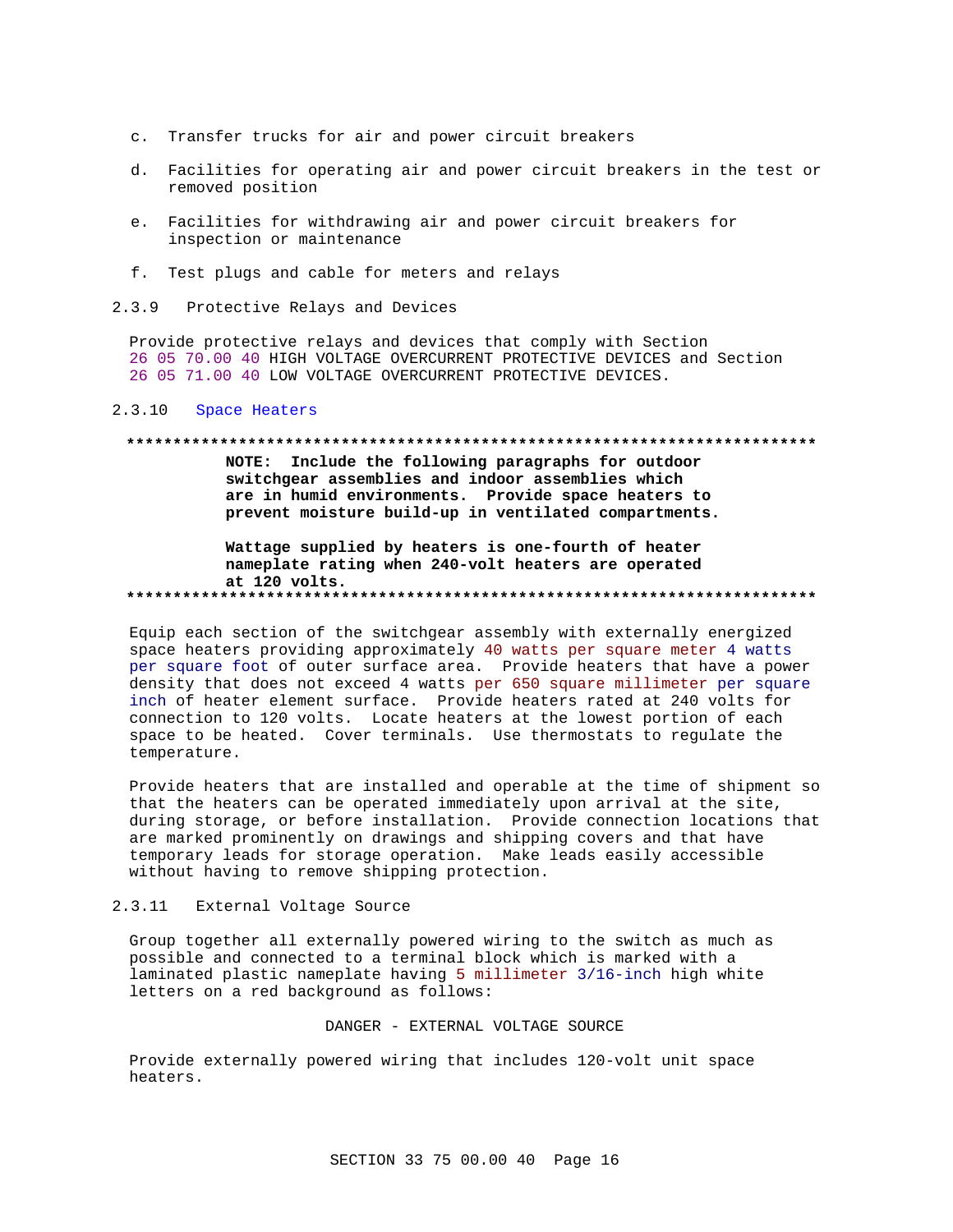- c. Transfer trucks for air and power circuit breakers
- d. Facilities for operating air and power circuit breakers in the test or removed position
- e. Facilities for withdrawing air and power circuit breakers for inspection or maintenance
- f. Test plugs and cable for meters and relays
- 2.3.9 Protective Relays and Devices

Provide protective relays and devices that comply with Section 26 05 70.00 40 HIGH VOLTAGE OVERCURRENT PROTECTIVE DEVICES and Section 26 05 71.00 40 LOW VOLTAGE OVERCURRENT PROTECTIVE DEVICES.

## 2.3.10 Space Heaters

## **\*\*\*\*\*\*\*\*\*\*\*\*\*\*\*\*\*\*\*\*\*\*\*\*\*\*\*\*\*\*\*\*\*\*\*\*\*\*\*\*\*\*\*\*\*\*\*\*\*\*\*\*\*\*\*\*\*\*\*\*\*\*\*\*\*\*\*\*\*\*\*\*\*\***

**NOTE: Include the following paragraphs for outdoor switchgear assemblies and indoor assemblies which are in humid environments. Provide space heaters to prevent moisture build-up in ventilated compartments.**

**Wattage supplied by heaters is one-fourth of heater nameplate rating when 240-volt heaters are operated at 120 volts. \*\*\*\*\*\*\*\*\*\*\*\*\*\*\*\*\*\*\*\*\*\*\*\*\*\*\*\*\*\*\*\*\*\*\*\*\*\*\*\*\*\*\*\*\*\*\*\*\*\*\*\*\*\*\*\*\*\*\*\*\*\*\*\*\*\*\*\*\*\*\*\*\*\***

Equip each section of the switchgear assembly with externally energized space heaters providing approximately 40 watts per square meter 4 watts per square foot of outer surface area. Provide heaters that have a power density that does not exceed 4 watts per 650 square millimeter per square inch of heater element surface. Provide heaters rated at 240 volts for connection to 120 volts. Locate heaters at the lowest portion of each space to be heated. Cover terminals. Use thermostats to regulate the temperature.

Provide heaters that are installed and operable at the time of shipment so that the heaters can be operated immediately upon arrival at the site, during storage, or before installation. Provide connection locations that are marked prominently on drawings and shipping covers and that have temporary leads for storage operation. Make leads easily accessible without having to remove shipping protection.

#### 2.3.11 External Voltage Source

Group together all externally powered wiring to the switch as much as possible and connected to a terminal block which is marked with a laminated plastic nameplate having 5 millimeter 3/16-inch high white letters on a red background as follows:

#### DANGER - EXTERNAL VOLTAGE SOURCE

Provide externally powered wiring that includes 120-volt unit space heaters.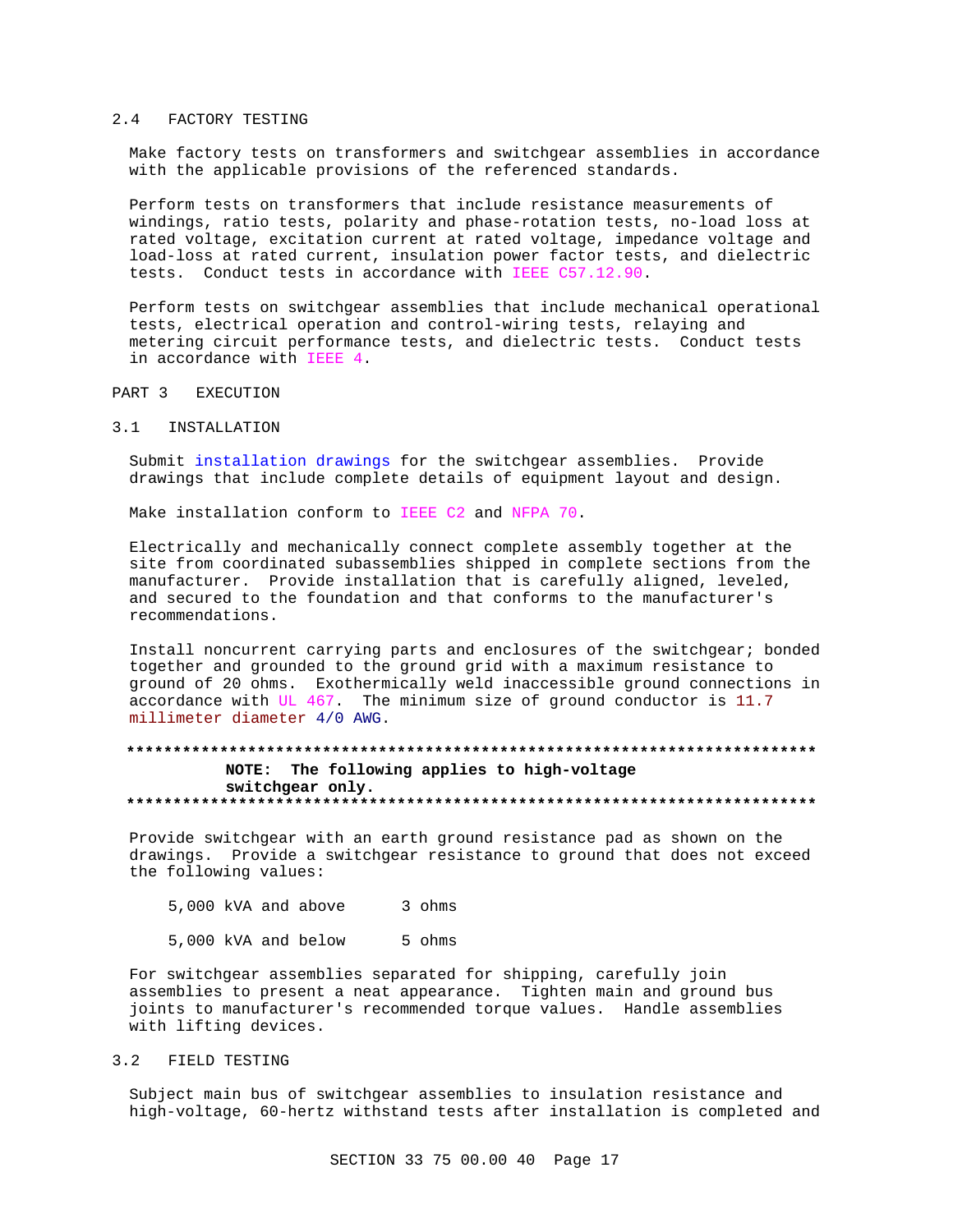#### 2.4 FACTORY TESTING

Make factory tests on transformers and switchgear assemblies in accordance with the applicable provisions of the referenced standards.

Perform tests on transformers that include resistance measurements of windings, ratio tests, polarity and phase-rotation tests, no-load loss at rated voltage, excitation current at rated voltage, impedance voltage and load-loss at rated current, insulation power factor tests, and dielectric tests. Conduct tests in accordance with IEEE C57.12.90.

Perform tests on switchgear assemblies that include mechanical operational tests, electrical operation and control-wiring tests, relaying and metering circuit performance tests, and dielectric tests. Conduct tests in accordance with IEEE 4.

#### PART 3 EXECUTION

#### 3.1 INSTALLATION

Submit installation drawings for the switchgear assemblies. Provide drawings that include complete details of equipment layout and design.

Make installation conform to IEEE C2 and NFPA 70.

Electrically and mechanically connect complete assembly together at the site from coordinated subassemblies shipped in complete sections from the manufacturer. Provide installation that is carefully aligned, leveled, and secured to the foundation and that conforms to the manufacturer's recommendations.

Install noncurrent carrying parts and enclosures of the switchgear; bonded together and grounded to the ground grid with a maximum resistance to ground of 20 ohms. Exothermically weld inaccessible ground connections in accordance with UL 467. The minimum size of ground conductor is 11.7 millimeter diameter 4/0 AWG.

# **\*\*\*\*\*\*\*\*\*\*\*\*\*\*\*\*\*\*\*\*\*\*\*\*\*\*\*\*\*\*\*\*\*\*\*\*\*\*\*\*\*\*\*\*\*\*\*\*\*\*\*\*\*\*\*\*\*\*\*\*\*\*\*\*\*\*\*\*\*\*\*\*\*\* NOTE: The following applies to high-voltage switchgear only. \*\*\*\*\*\*\*\*\*\*\*\*\*\*\*\*\*\*\*\*\*\*\*\*\*\*\*\*\*\*\*\*\*\*\*\*\*\*\*\*\*\*\*\*\*\*\*\*\*\*\*\*\*\*\*\*\*\*\*\*\*\*\*\*\*\*\*\*\*\*\*\*\*\***

Provide switchgear with an earth ground resistance pad as shown on the drawings. Provide a switchgear resistance to ground that does not exceed the following values:

5,000 kVA and above 3 ohms

5,000 kVA and below 5 ohms

For switchgear assemblies separated for shipping, carefully join assemblies to present a neat appearance. Tighten main and ground bus joints to manufacturer's recommended torque values. Handle assemblies with lifting devices.

### 3.2 FIELD TESTING

Subject main bus of switchgear assemblies to insulation resistance and high-voltage, 60-hertz withstand tests after installation is completed and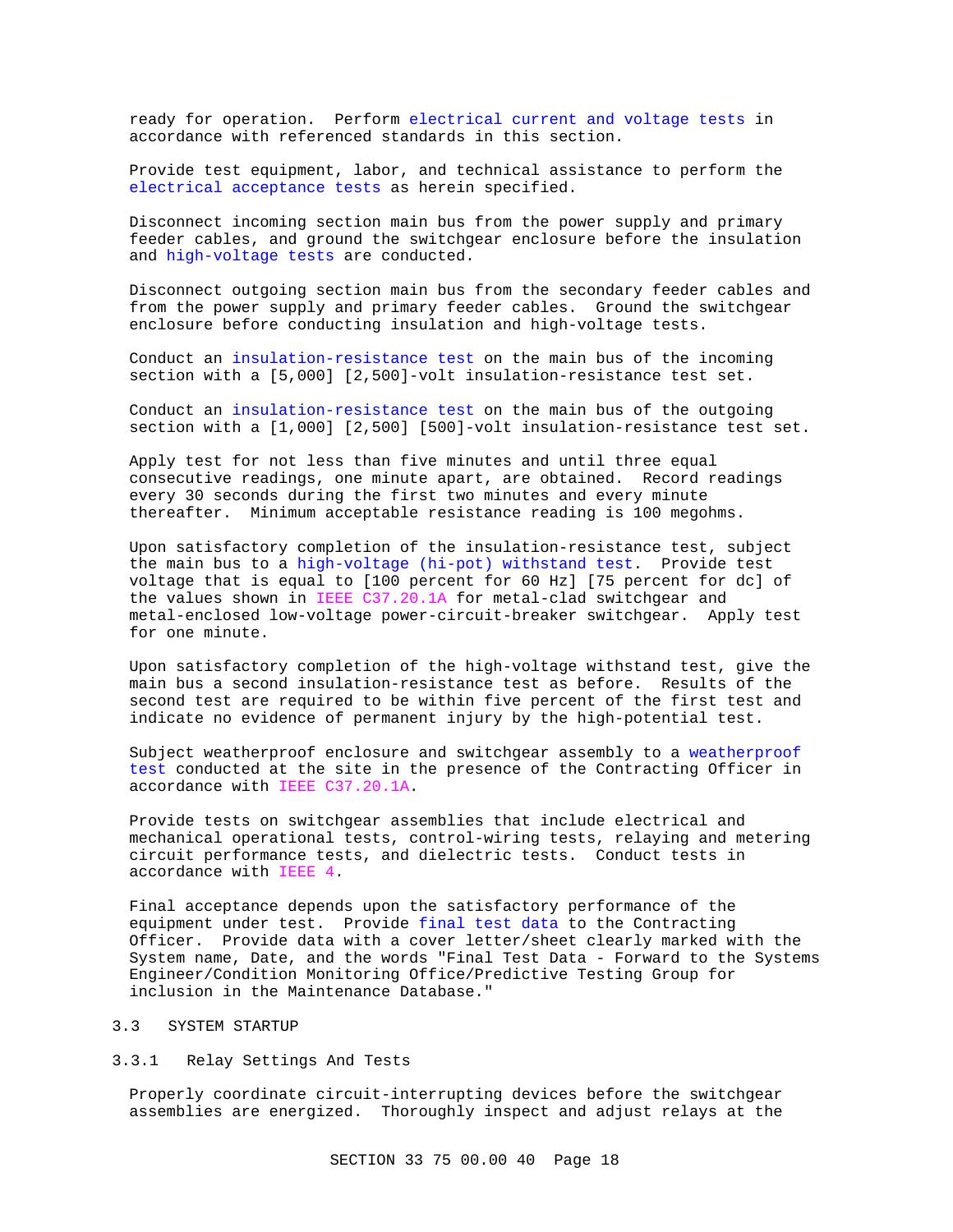ready for operation. Perform electrical current and voltage tests in accordance with referenced standards in this section.

Provide test equipment, labor, and technical assistance to perform the electrical acceptance tests as herein specified.

Disconnect incoming section main bus from the power supply and primary feeder cables, and ground the switchgear enclosure before the insulation and high-voltage tests are conducted.

Disconnect outgoing section main bus from the secondary feeder cables and from the power supply and primary feeder cables. Ground the switchgear enclosure before conducting insulation and high-voltage tests.

Conduct an insulation-resistance test on the main bus of the incoming section with a [5,000] [2,500]-volt insulation-resistance test set.

Conduct an insulation-resistance test on the main bus of the outgoing section with a [1,000] [2,500] [500]-volt insulation-resistance test set.

Apply test for not less than five minutes and until three equal consecutive readings, one minute apart, are obtained. Record readings every 30 seconds during the first two minutes and every minute thereafter. Minimum acceptable resistance reading is 100 megohms.

Upon satisfactory completion of the insulation-resistance test, subject the main bus to a high-voltage (hi-pot) withstand test. Provide test voltage that is equal to [100 percent for 60 Hz] [75 percent for dc] of the values shown in IEEE C37.20.1A for metal-clad switchgear and metal-enclosed low-voltage power-circuit-breaker switchgear. Apply test for one minute.

Upon satisfactory completion of the high-voltage withstand test, give the main bus a second insulation-resistance test as before. Results of the second test are required to be within five percent of the first test and indicate no evidence of permanent injury by the high-potential test.

Subject weatherproof enclosure and switchgear assembly to a weatherproof test conducted at the site in the presence of the Contracting Officer in accordance with IEEE C37.20.1A.

Provide tests on switchgear assemblies that include electrical and mechanical operational tests, control-wiring tests, relaying and metering circuit performance tests, and dielectric tests. Conduct tests in accordance with IEEE 4.

Final acceptance depends upon the satisfactory performance of the equipment under test. Provide final test data to the Contracting Officer. Provide data with a cover letter/sheet clearly marked with the System name, Date, and the words "Final Test Data - Forward to the Systems Engineer/Condition Monitoring Office/Predictive Testing Group for inclusion in the Maintenance Database."

## 3.3 SYSTEM STARTUP

## 3.3.1 Relay Settings And Tests

Properly coordinate circuit-interrupting devices before the switchgear assemblies are energized. Thoroughly inspect and adjust relays at the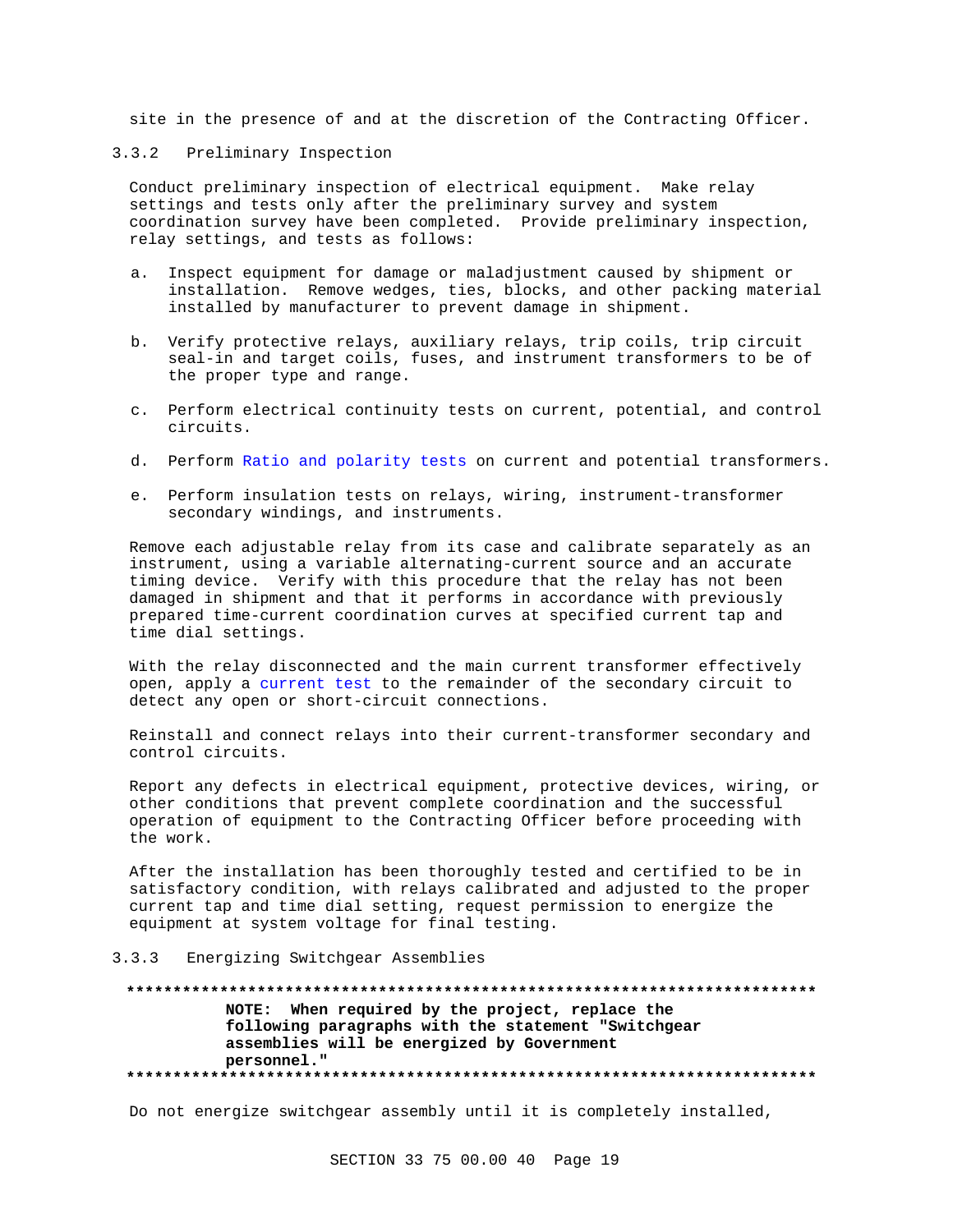site in the presence of and at the discretion of the Contracting Officer.

### 3.3.2 Preliminary Inspection

Conduct preliminary inspection of electrical equipment. Make relay settings and tests only after the preliminary survey and system coordination survey have been completed. Provide preliminary inspection, relay settings, and tests as follows:

- a. Inspect equipment for damage or maladjustment caused by shipment or installation. Remove wedges, ties, blocks, and other packing material installed by manufacturer to prevent damage in shipment.
- b. Verify protective relays, auxiliary relays, trip coils, trip circuit seal-in and target coils, fuses, and instrument transformers to be of the proper type and range.
- c. Perform electrical continuity tests on current, potential, and control circuits.
- d. Perform Ratio and polarity tests on current and potential transformers.
- e. Perform insulation tests on relays, wiring, instrument-transformer secondary windings, and instruments.

Remove each adjustable relay from its case and calibrate separately as an instrument, using a variable alternating-current source and an accurate timing device. Verify with this procedure that the relay has not been damaged in shipment and that it performs in accordance with previously prepared time-current coordination curves at specified current tap and time dial settings.

With the relay disconnected and the main current transformer effectively open, apply a current test to the remainder of the secondary circuit to detect any open or short-circuit connections.

Reinstall and connect relays into their current-transformer secondary and control circuits.

Report any defects in electrical equipment, protective devices, wiring, or other conditions that prevent complete coordination and the successful operation of equipment to the Contracting Officer before proceeding with the work.

After the installation has been thoroughly tested and certified to be in satisfactory condition, with relays calibrated and adjusted to the proper current tap and time dial setting, request permission to energize the equipment at system voltage for final testing.

## 3.3.3 Energizing Switchgear Assemblies

## **\*\*\*\*\*\*\*\*\*\*\*\*\*\*\*\*\*\*\*\*\*\*\*\*\*\*\*\*\*\*\*\*\*\*\*\*\*\*\*\*\*\*\*\*\*\*\*\*\*\*\*\*\*\*\*\*\*\*\*\*\*\*\*\*\*\*\*\*\*\*\*\*\*\* NOTE: When required by the project, replace the following paragraphs with the statement "Switchgear assemblies will be energized by Government personnel." \*\*\*\*\*\*\*\*\*\*\*\*\*\*\*\*\*\*\*\*\*\*\*\*\*\*\*\*\*\*\*\*\*\*\*\*\*\*\*\*\*\*\*\*\*\*\*\*\*\*\*\*\*\*\*\*\*\*\*\*\*\*\*\*\*\*\*\*\*\*\*\*\*\***

Do not energize switchgear assembly until it is completely installed,